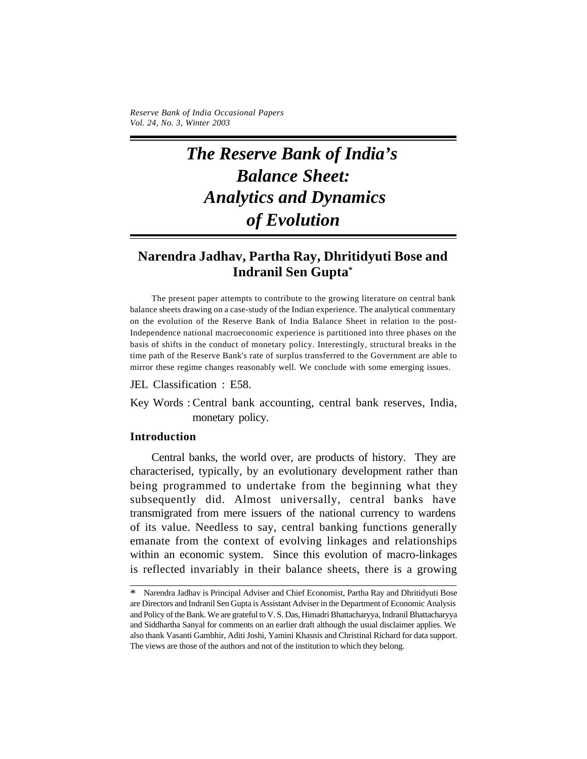# *The Reserve Bank of India's Balance Sheet: Analytics and Dynamics of Evolution*

# **Narendra Jadhav, Partha Ray, Dhritidyuti Bose and Indranil Sen Gupta\***

The present paper attempts to contribute to the growing literature on central bank balance sheets drawing on a case-study of the Indian experience. The analytical commentary on the evolution of the Reserve Bank of India Balance Sheet in relation to the post-Independence national macroeconomic experience is partitioned into three phases on the basis of shifts in the conduct of monetary policy. Interestingly, structural breaks in the time path of the Reserve Bank's rate of surplus transferred to the Government are able to mirror these regime changes reasonably well. We conclude with some emerging issues.

- JEL Classification : E58.
- Key Words : Central bank accounting, central bank reserves, India, monetary policy.

#### **Introduction**

Central banks, the world over, are products of history. They are characterised, typically, by an evolutionary development rather than being programmed to undertake from the beginning what they subsequently did. Almost universally, central banks have transmigrated from mere issuers of the national currency to wardens of its value. Needless to say, central banking functions generally emanate from the context of evolving linkages and relationships within an economic system. Since this evolution of macro-linkages is reflected invariably in their balance sheets, there is a growing

Narendra Jadhav is Principal Adviser and Chief Economist, Partha Ray and Dhritidyuti Bose are Directors and Indranil Sen Gupta is Assistant Adviser in the Department of Economic Analysis and Policy of the Bank. We are grateful to V. S. Das, Himadri Bhattacharyya, Indranil Bhattacharyya and Siddhartha Sanyal for comments on an earlier draft although the usual disclaimer applies. We also thank Vasanti Gambhir, Aditi Joshi, Yamini Khasnis and Christinal Richard for data support. The views are those of the authors and not of the institution to which they belong.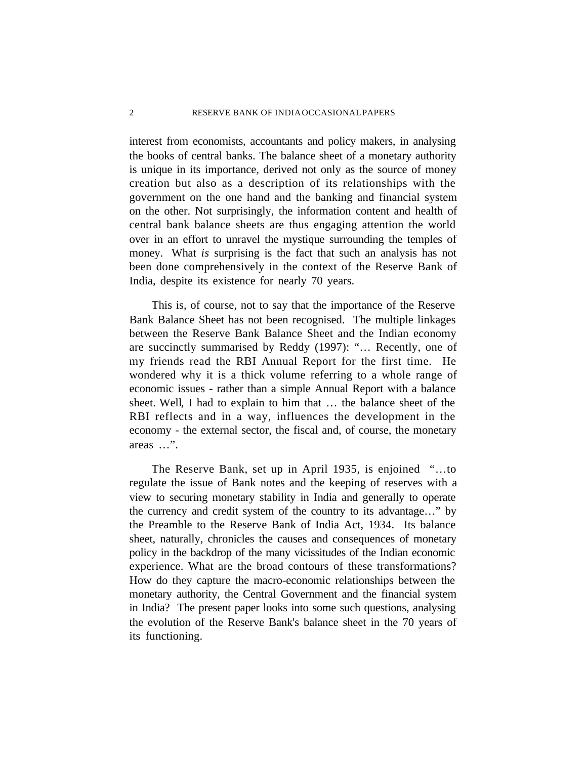interest from economists, accountants and policy makers, in analysing the books of central banks. The balance sheet of a monetary authority is unique in its importance, derived not only as the source of money creation but also as a description of its relationships with the government on the one hand and the banking and financial system on the other. Not surprisingly, the information content and health of central bank balance sheets are thus engaging attention the world over in an effort to unravel the mystique surrounding the temples of money. What *is* surprising is the fact that such an analysis has not been done comprehensively in the context of the Reserve Bank of India, despite its existence for nearly 70 years.

This is, of course, not to say that the importance of the Reserve Bank Balance Sheet has not been recognised. The multiple linkages between the Reserve Bank Balance Sheet and the Indian economy are succinctly summarised by Reddy (1997): "… Recently, one of my friends read the RBI Annual Report for the first time. He wondered why it is a thick volume referring to a whole range of economic issues - rather than a simple Annual Report with a balance sheet. Well, I had to explain to him that … the balance sheet of the RBI reflects and in a way, influences the development in the economy - the external sector, the fiscal and, of course, the monetary areas …".

The Reserve Bank, set up in April 1935, is enjoined "…to regulate the issue of Bank notes and the keeping of reserves with a view to securing monetary stability in India and generally to operate the currency and credit system of the country to its advantage…" by the Preamble to the Reserve Bank of India Act, 1934. Its balance sheet, naturally, chronicles the causes and consequences of monetary policy in the backdrop of the many vicissitudes of the Indian economic experience. What are the broad contours of these transformations? How do they capture the macro-economic relationships between the monetary authority, the Central Government and the financial system in India? The present paper looks into some such questions, analysing the evolution of the Reserve Bank's balance sheet in the 70 years of its functioning.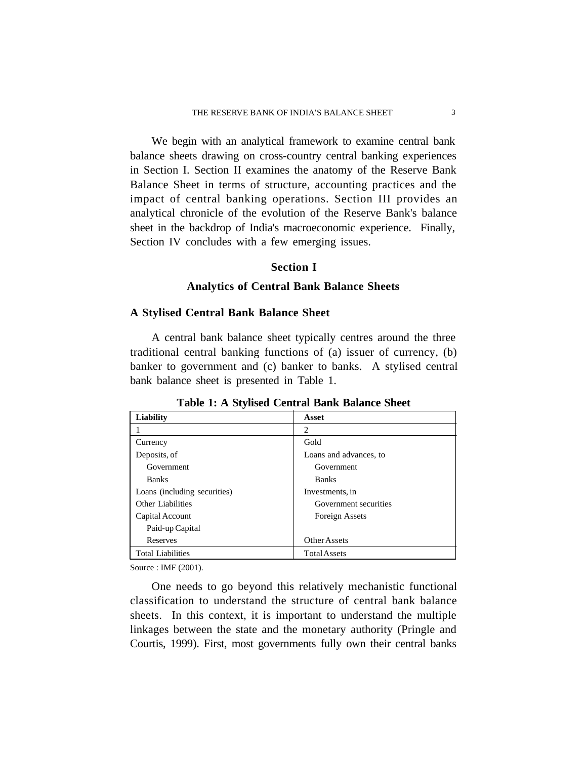We begin with an analytical framework to examine central bank balance sheets drawing on cross-country central banking experiences in Section I. Section II examines the anatomy of the Reserve Bank Balance Sheet in terms of structure, accounting practices and the impact of central banking operations. Section III provides an analytical chronicle of the evolution of the Reserve Bank's balance sheet in the backdrop of India's macroeconomic experience. Finally, Section IV concludes with a few emerging issues.

#### **Section I**

#### **Analytics of Central Bank Balance Sheets**

#### **A Stylised Central Bank Balance Sheet**

A central bank balance sheet typically centres around the three traditional central banking functions of (a) issuer of currency, (b) banker to government and (c) banker to banks. A stylised central bank balance sheet is presented in Table 1.

| <b>Liability</b>             | Asset                  |
|------------------------------|------------------------|
|                              | 2                      |
| Currency                     | Gold                   |
| Deposits, of                 | Loans and advances, to |
| Government                   | Government             |
| <b>Banks</b>                 | <b>Banks</b>           |
| Loans (including securities) | Investments, in        |
| Other Liabilities            | Government securities  |
| Capital Account              | Foreign Assets         |
| Paid-up Capital              |                        |
| Reserves                     | <b>Other Assets</b>    |
| <b>Total Liabilities</b>     | <b>Total Assets</b>    |

**Table 1: A Stylised Central Bank Balance Sheet**

Source : IMF (2001).

One needs to go beyond this relatively mechanistic functional classification to understand the structure of central bank balance sheets. In this context, it is important to understand the multiple linkages between the state and the monetary authority (Pringle and Courtis, 1999). First, most governments fully own their central banks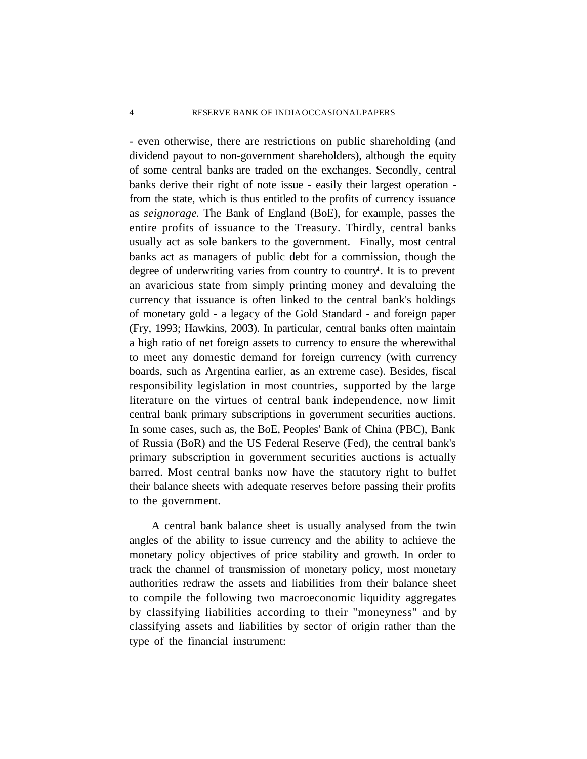- even otherwise, there are restrictions on public shareholding (and dividend payout to non-government shareholders), although the equity of some central banks are traded on the exchanges. Secondly, central banks derive their right of note issue - easily their largest operation from the state, which is thus entitled to the profits of currency issuance as *seignorage*. The Bank of England (BoE), for example, passes the entire profits of issuance to the Treasury. Thirdly, central banks usually act as sole bankers to the government. Finally, most central banks act as managers of public debt for a commission, though the degree of underwriting varies from country to country<sup>1</sup>. It is to prevent an avaricious state from simply printing money and devaluing the currency that issuance is often linked to the central bank's holdings of monetary gold - a legacy of the Gold Standard - and foreign paper (Fry, 1993; Hawkins, 2003). In particular, central banks often maintain a high ratio of net foreign assets to currency to ensure the wherewithal to meet any domestic demand for foreign currency (with currency boards, such as Argentina earlier, as an extreme case). Besides, fiscal responsibility legislation in most countries, supported by the large literature on the virtues of central bank independence, now limit central bank primary subscriptions in government securities auctions. In some cases, such as, the BoE, Peoples' Bank of China (PBC), Bank of Russia (BoR) and the US Federal Reserve (Fed), the central bank's primary subscription in government securities auctions is actually barred. Most central banks now have the statutory right to buffet their balance sheets with adequate reserves before passing their profits to the government.

A central bank balance sheet is usually analysed from the twin angles of the ability to issue currency and the ability to achieve the monetary policy objectives of price stability and growth. In order to track the channel of transmission of monetary policy, most monetary authorities redraw the assets and liabilities from their balance sheet to compile the following two macroeconomic liquidity aggregates by classifying liabilities according to their "moneyness" and by classifying assets and liabilities by sector of origin rather than the type of the financial instrument: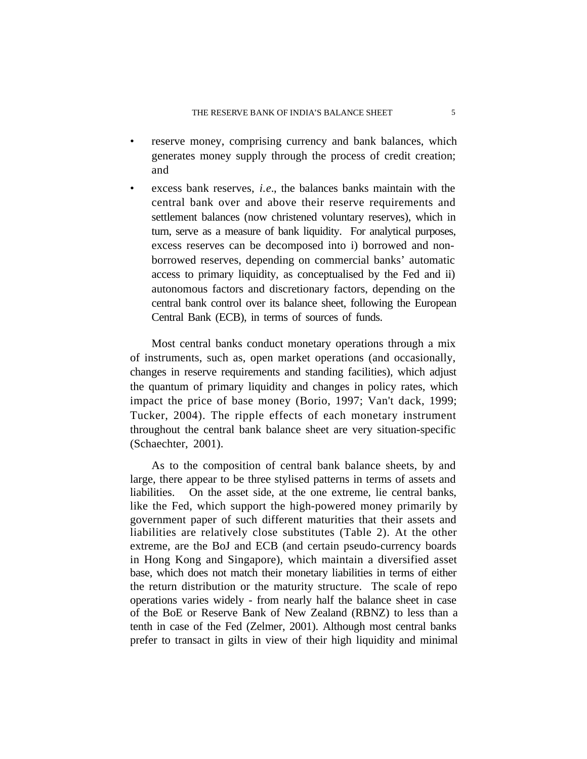- reserve money, comprising currency and bank balances, which generates money supply through the process of credit creation; and
- excess bank reserves, *i.e.*, the balances banks maintain with the central bank over and above their reserve requirements and settlement balances (now christened voluntary reserves), which in turn, serve as a measure of bank liquidity. For analytical purposes, excess reserves can be decomposed into i) borrowed and nonborrowed reserves, depending on commercial banks' automatic access to primary liquidity, as conceptualised by the Fed and ii) autonomous factors and discretionary factors, depending on the central bank control over its balance sheet, following the European Central Bank (ECB), in terms of sources of funds.

Most central banks conduct monetary operations through a mix of instruments, such as, open market operations (and occasionally, changes in reserve requirements and standing facilities), which adjust the quantum of primary liquidity and changes in policy rates, which impact the price of base money (Borio, 1997; Van't dack, 1999; Tucker, 2004). The ripple effects of each monetary instrument throughout the central bank balance sheet are very situation-specific (Schaechter, 2001).

As to the composition of central bank balance sheets, by and large, there appear to be three stylised patterns in terms of assets and liabilities. On the asset side, at the one extreme, lie central banks, like the Fed, which support the high-powered money primarily by government paper of such different maturities that their assets and liabilities are relatively close substitutes (Table 2). At the other extreme, are the BoJ and ECB (and certain pseudo-currency boards in Hong Kong and Singapore), which maintain a diversified asset base, which does not match their monetary liabilities in terms of either the return distribution or the maturity structure. The scale of repo operations varies widely - from nearly half the balance sheet in case of the BoE or Reserve Bank of New Zealand (RBNZ) to less than a tenth in case of the Fed (Zelmer, 2001). Although most central banks prefer to transact in gilts in view of their high liquidity and minimal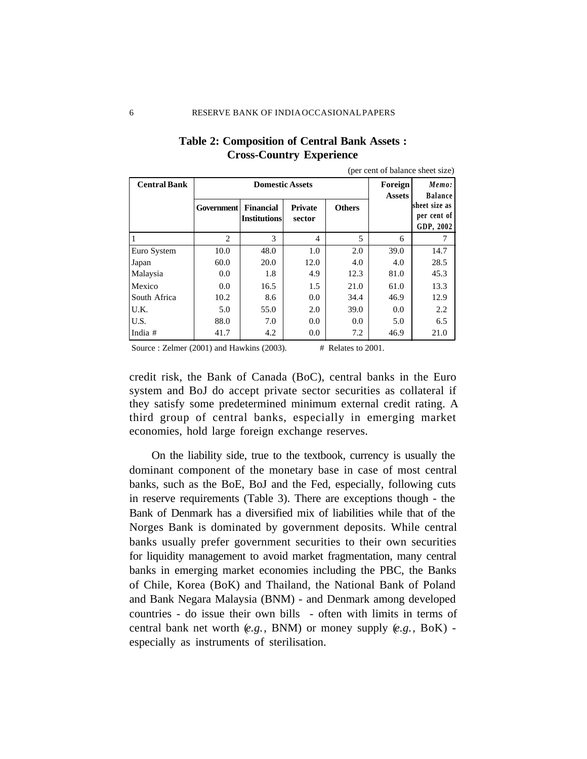| <b>Central Bank</b> |            | <b>Domestic Assets</b>                  | Foreign<br><b>Assets</b> | Memo:<br><b>Balance</b>  |      |                                           |
|---------------------|------------|-----------------------------------------|--------------------------|--------------------------|------|-------------------------------------------|
|                     | Government | <b>Financial</b><br><b>Institutions</b> | <b>Private</b><br>sector | <b>Others</b>            |      | sheet size as<br>per cent of<br>GDP, 2002 |
|                     | 2          | 3                                       | 4                        | $\overline{\phantom{0}}$ | 6    |                                           |
| Euro System         | 10.0       | 48.0                                    | 1.0                      | 2.0                      | 39.0 | 14.7                                      |
| Japan               | 60.0       | 20.0                                    | 12.0                     | 4.0                      | 4.0  | 28.5                                      |
| Malaysia            | 0.0        | 1.8                                     | 4.9                      | 12.3                     | 81.0 | 45.3                                      |
| Mexico              | 0.0        | 16.5                                    | 1.5                      | 21.0                     | 61.0 | 13.3                                      |
| South Africa        | 10.2       | 8.6                                     | 0.0                      | 34.4                     | 46.9 | 12.9                                      |
| U.K.                | 5.0        | 55.0                                    | 2.0                      | 39.0                     | 0.0  | 2.2                                       |
| U.S.                | 88.0       | 7.0                                     | 0.0                      | 0.0                      | 5.0  | 6.5                                       |
| India #             | 41.7       | 4.2                                     | 0.0                      | 7.2                      | 46.9 | 21.0                                      |

# **Table 2: Composition of Central Bank Assets : Cross-Country Experience**

(per cent of balance sheet size)

Source : Zelmer (2001) and Hawkins (2003). # Relates to 2001.

credit risk, the Bank of Canada (BoC), central banks in the Euro system and BoJ do accept private sector securities as collateral if they satisfy some predetermined minimum external credit rating. A third group of central banks, especially in emerging market economies, hold large foreign exchange reserves.

On the liability side, true to the textbook, currency is usually the dominant component of the monetary base in case of most central banks, such as the BoE, BoJ and the Fed, especially, following cuts in reserve requirements (Table 3). There are exceptions though - the Bank of Denmark has a diversified mix of liabilities while that of the Norges Bank is dominated by government deposits. While central banks usually prefer government securities to their own securities for liquidity management to avoid market fragmentation, many central banks in emerging market economies including the PBC, the Banks of Chile, Korea (BoK) and Thailand, the National Bank of Poland and Bank Negara Malaysia (BNM) - and Denmark among developed countries - do issue their own bills - often with limits in terms of central bank net worth (*e.g.*, BNM) or money supply (*e.g.*, BoK) especially as instruments of sterilisation.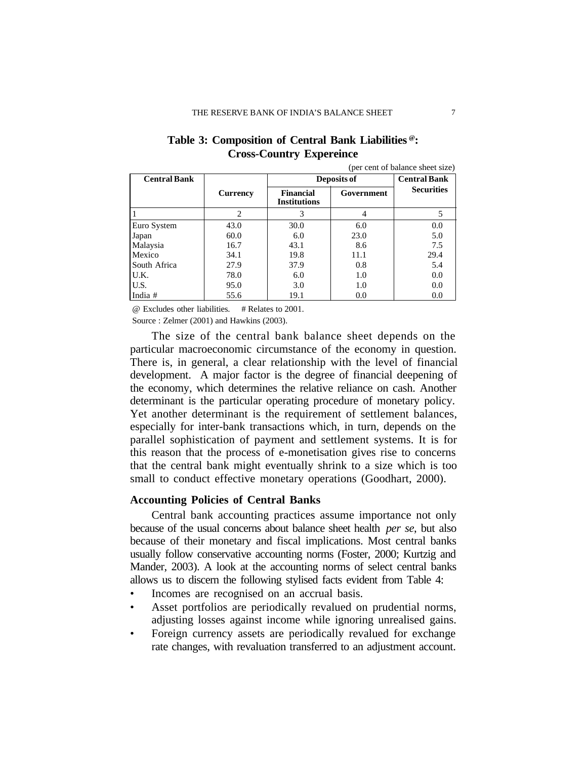| (per cent of balance sheet size) |                 |                                         |                     |                   |  |  |  |  |
|----------------------------------|-----------------|-----------------------------------------|---------------------|-------------------|--|--|--|--|
| <b>Central Bank</b>              |                 | Deposits of                             | <b>Central Bank</b> |                   |  |  |  |  |
|                                  | <b>Currency</b> | <b>Financial</b><br><b>Institutions</b> | Government          | <b>Securities</b> |  |  |  |  |
|                                  | $\overline{c}$  | 3                                       | 4                   | 5                 |  |  |  |  |
| Euro System                      | 43.0            | 30.0                                    | 6.0                 | 0.0               |  |  |  |  |
| Japan                            | 60.0            | 6.0                                     | 23.0                | 5.0               |  |  |  |  |
| Malaysia                         | 16.7            | 43.1                                    | 8.6                 | 7.5               |  |  |  |  |
| Mexico                           | 34.1            | 19.8                                    | 11.1                | 29.4              |  |  |  |  |
| South Africa                     | 27.9            | 37.9                                    | 0.8                 | 5.4               |  |  |  |  |
| U.K.                             | 78.0            | 6.0                                     | 1.0                 | 0.0               |  |  |  |  |
| U.S.                             | 95.0            | 3.0                                     | 1.0                 | 0.0               |  |  |  |  |
| India #                          | 55.6            | 19.1                                    | 0.0                 | 0.0               |  |  |  |  |

#### **Table 3: Composition of Central Bank Liabilities @: Cross-Country Expereince**

@ Excludes other liabilities. # Relates to 2001. Source : Zelmer (2001) and Hawkins (2003).

The size of the central bank balance sheet depends on the particular macroeconomic circumstance of the economy in question. There is, in general, a clear relationship with the level of financial development. A major factor is the degree of financial deepening of the economy, which determines the relative reliance on cash. Another determinant is the particular operating procedure of monetary policy. Yet another determinant is the requirement of settlement balances, especially for inter-bank transactions which, in turn, depends on the parallel sophistication of payment and settlement systems. It is for this reason that the process of e-monetisation gives rise to concerns that the central bank might eventually shrink to a size which is too small to conduct effective monetary operations (Goodhart, 2000).

#### **Accounting Policies of Central Banks**

Central bank accounting practices assume importance not only because of the usual concerns about balance sheet health *per se*, but also because of their monetary and fiscal implications. Most central banks usually follow conservative accounting norms (Foster, 2000; Kurtzig and Mander, 2003). A look at the accounting norms of select central banks allows us to discern the following stylised facts evident from Table 4:

- Incomes are recognised on an accrual basis.
- Asset portfolios are periodically revalued on prudential norms, adjusting losses against income while ignoring unrealised gains.
- Foreign currency assets are periodically revalued for exchange rate changes, with revaluation transferred to an adjustment account.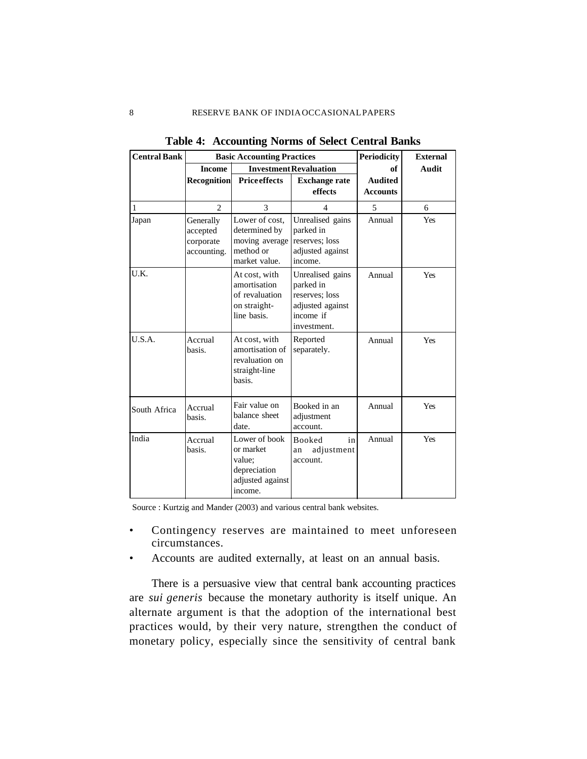| <b>Central Bank</b> |                                                   | <b>Basic Accounting Practices</b>                                                   | <b>Periodicity</b>                                                                              | <b>External</b> |       |
|---------------------|---------------------------------------------------|-------------------------------------------------------------------------------------|-------------------------------------------------------------------------------------------------|-----------------|-------|
|                     | <b>Income</b>                                     |                                                                                     | <b>Investment Revaluation</b>                                                                   | of              | Audit |
|                     | Recognition                                       | <b>Price effects</b>                                                                | <b>Exchange rate</b>                                                                            | <b>Audited</b>  |       |
|                     |                                                   |                                                                                     | effects                                                                                         | <b>Accounts</b> |       |
| 1                   | $\mathfrak{D}$                                    | 3                                                                                   | $\overline{\mathcal{L}}$                                                                        | 5               | 6     |
| Japan               | Generally<br>accepted<br>corporate<br>accounting. | Lower of cost,<br>determined by<br>moving average<br>method or<br>market value.     | Unrealised gains<br>parked in<br>reserves; loss<br>adjusted against<br>income.                  | Annual          | Yes   |
| U.K.                |                                                   | At cost, with<br>amortisation<br>of revaluation<br>on straight-<br>line basis.      | Unrealised gains<br>parked in<br>reserves; loss<br>adjusted against<br>income if<br>investment. | Annual          | Yes   |
| U.S.A.              | Accrual<br>basis.                                 | At cost, with<br>amortisation of<br>revaluation on<br>straight-line<br>basis.       | Reported<br>separately.                                                                         | Annual          | Yes   |
| South Africa        | Accrual<br>basis.                                 | Fair value on<br>balance sheet<br>date.                                             | Booked in an<br>adjustment<br>account.                                                          | Annual          | Yes   |
| India               | Accrual<br>basis.                                 | Lower of book<br>or market<br>value:<br>depreciation<br>adjusted against<br>income. | in<br>Booked<br>adjustment<br>an<br>account.                                                    | Annual          | Yes   |

**Table 4: Accounting Norms of Select Central Banks**

Source : Kurtzig and Mander (2003) and various central bank websites.

- Contingency reserves are maintained to meet unforeseen circumstances.
- Accounts are audited externally, at least on an annual basis.

There is a persuasive view that central bank accounting practices are *sui generis* because the monetary authority is itself unique. An alternate argument is that the adoption of the international best practices would, by their very nature, strengthen the conduct of monetary policy, especially since the sensitivity of central bank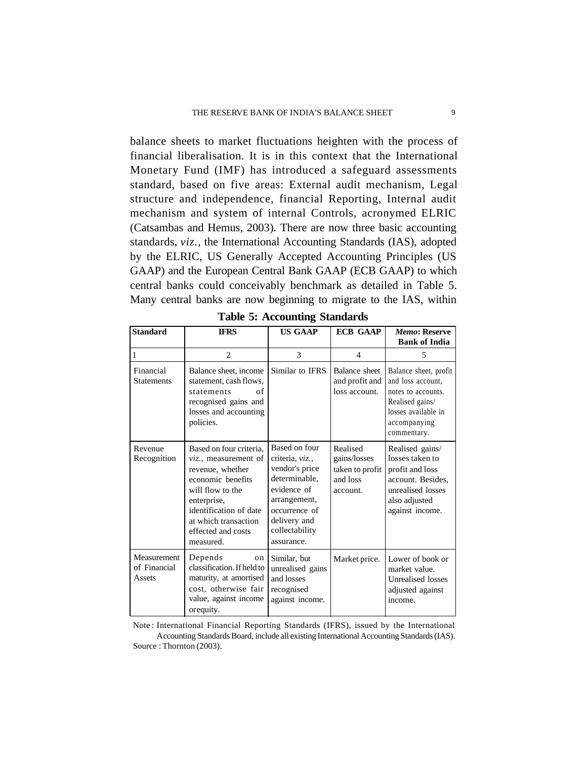balance sheets to market fluctuations heighten with the process of financial liberalisation. It is in this context that the International Monetary Fund (IMF) has introduced a safeguard assessments standard, based on five areas: External audit mechanism, Legal structure and independence, financial Reporting, Internal audit mechanism and system of internal Controls, acronymed ELRIC (Catsambas and Hemus, 2003). There are now three basic accounting standards, *viz.,* the International Accounting Standards (IAS), adopted by the ELRIC, US Generally Accepted Accounting Principles (US GAAP) and the European Central Bank GAAP (ECB GAAP) to which central banks could conceivably benchmark as detailed in Table 5. Many central banks are now beginning to migrate to the IAS, within

| <b>Standard</b>                       | <b>IFRS</b>                                                                                                                                                                                                      | <b>US GAAP</b>                                                                                                                                                      | <b>ECB GAAP</b>                                                     | Memo: Reserve<br><b>Bank of India</b>                                                                                                     |  |  |
|---------------------------------------|------------------------------------------------------------------------------------------------------------------------------------------------------------------------------------------------------------------|---------------------------------------------------------------------------------------------------------------------------------------------------------------------|---------------------------------------------------------------------|-------------------------------------------------------------------------------------------------------------------------------------------|--|--|
| 1                                     | $\mathfrak{D}$                                                                                                                                                                                                   | $\mathcal{E}$                                                                                                                                                       | $\overline{\mathcal{A}}$                                            | 5                                                                                                                                         |  |  |
| Financial<br><b>Statements</b>        | Balance sheet, income<br>statement, cash flows,<br>statements<br>οf<br>recognised gains and<br>losses and accounting<br>policies.                                                                                | Similar to IFRS                                                                                                                                                     | Balance sheet<br>and profit and<br>loss account.                    | Balance sheet, profit<br>and loss account,<br>notes to accounts.<br>Realised gains/<br>losses available in<br>accompanying<br>commentary. |  |  |
| Revenue<br>Recognition                | Based on four criteria.<br>viz., measurement of<br>revenue, whether<br>economic benefits<br>will flow to the<br>enterprise,<br>identification of date<br>at which transaction<br>effected and costs<br>measured. | Based on four<br>criteria, viz.,<br>vendor's price<br>determinable,<br>evidence of<br>arrangement,<br>occurrence of<br>delivery and<br>collectability<br>assurance. | Realised<br>gains/losses<br>taken to profit<br>and loss<br>account. | Realised gains/<br>losses taken to<br>profit and loss<br>account. Besides,<br>unrealised losses<br>also adjusted<br>against income.       |  |  |
| Measurement<br>of Financial<br>Assets | Depends<br>on<br>classification. If held to<br>maturity, at amortised<br>cost, otherwise fair<br>value, against income<br>orequity.                                                                              | Similar, but<br>unrealised gains<br>and losses<br>recognised<br>against income.                                                                                     | Market price.                                                       | Lower of book or<br>market value.<br>Unrealised losses<br>adjusted against<br>income.                                                     |  |  |

**Table 5: Accounting Standards**

Note : International Financial Reporting Standards (IFRS), issued by the International Accounting Standards Board, include all existing International Accounting Standards (IAS). Source: Thornton (2003).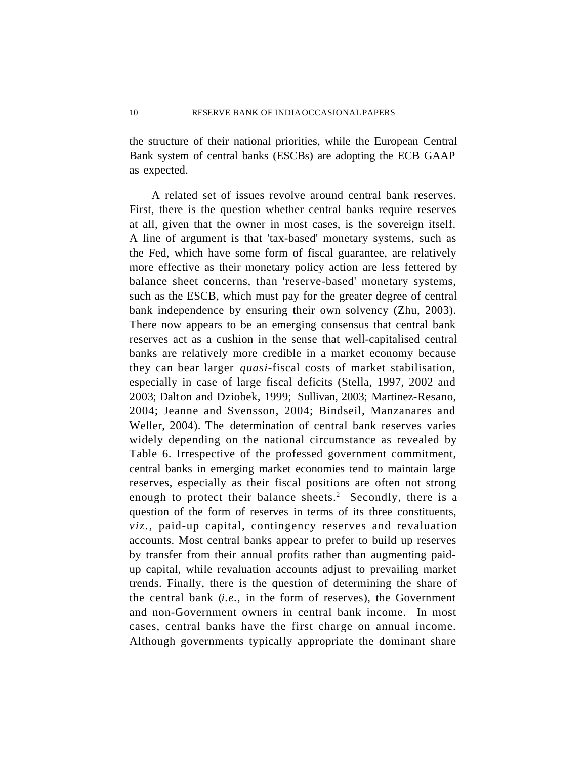the structure of their national priorities, while the European Central Bank system of central banks (ESCBs) are adopting the ECB GAAP as expected.

A related set of issues revolve around central bank reserves. First, there is the question whether central banks require reserves at all, given that the owner in most cases, is the sovereign itself. A line of argument is that 'tax-based' monetary systems, such as the Fed, which have some form of fiscal guarantee, are relatively more effective as their monetary policy action are less fettered by balance sheet concerns, than 'reserve-based' monetary systems, such as the ESCB, which must pay for the greater degree of central bank independence by ensuring their own solvency (Zhu, 2003). There now appears to be an emerging consensus that central bank reserves act as a cushion in the sense that well-capitalised central banks are relatively more credible in a market economy because they can bear larger *quasi*-fiscal costs of market stabilisation, especially in case of large fiscal deficits (Stella, 1997, 2002 and 2003; Dalton and Dziobek, 1999; Sullivan, 2003; Martinez-Resano, 2004; Jeanne and Svensson, 2004; Bindseil, Manzanares and Weller, 2004). The determination of central bank reserves varies widely depending on the national circumstance as revealed by Table 6. Irrespective of the professed government commitment, central banks in emerging market economies tend to maintain large reserves, especially as their fiscal positions are often not strong enough to protect their balance sheets.<sup>2</sup> Secondly, there is a question of the form of reserves in terms of its three constituents, *viz.,* paid-up capital, contingency reserves and revaluation accounts. Most central banks appear to prefer to build up reserves by transfer from their annual profits rather than augmenting paidup capital, while revaluation accounts adjust to prevailing market trends. Finally, there is the question of determining the share of the central bank (*i.e.,* in the form of reserves), the Government and non-Government owners in central bank income. In most cases, central banks have the first charge on annual income. Although governments typically appropriate the dominant share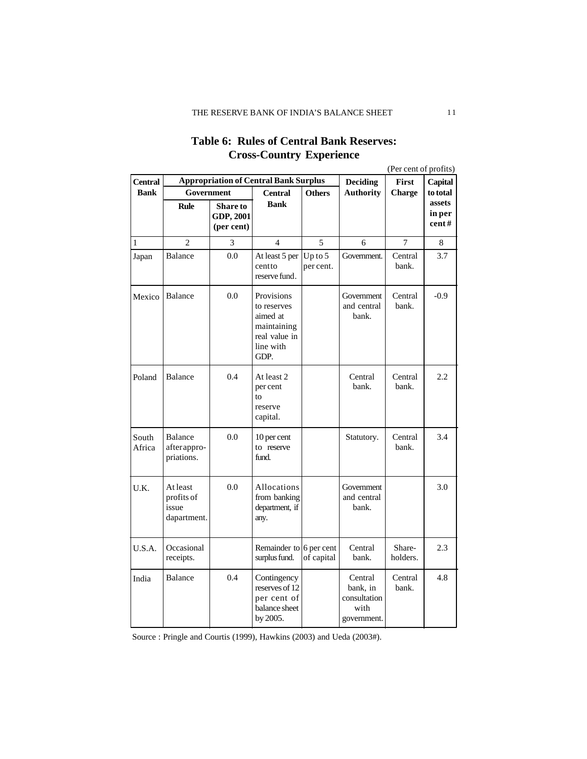## **Table 6: Rules of Central Bank Reserves: Cross-Country Experience**

1 2 3 4 5 6 7 8 **Central Bank Rule Share to GDP, 2001 (per cent) Central Bank Others Deciding Authority First Charge Appropriation of Central Bank Surplus Government** Japan Mexico Balance Poland South Africa U.K. U.S.A. India Balance Balance Balance after appropriations. At least profits of issue dapartment. Occasional receipts. Balance 0.0 0.0 0.4 0.0 0.0 0.4 At least 5 per cent to reserve fund. Provisions to reserves aimed at maintaining real value in line with GDP. At least 2 per cent to reserve capital. 10 per cent to reserve fund. Allocations from banking department, if any. Remainder to 6 per cent surplus fund. **Contingency** reserves of 12 per cent of balance sheet by 2005. Up to 5 per cent. of capital Government. Government and central bank. **Central** bank. Statutory. Government and central bank. **Central** bank. Central bank, in consultation with government. Central bank. Central bank. Central bank. **Central** bank. Shareholders. Central bank. (Per cent of profits) **Capital to total assets in per cent #** 3.7 -0.9 2.2 3.4 3.0 2.3 4.8

Source : Pringle and Courtis (1999), Hawkins (2003) and Ueda (2003#).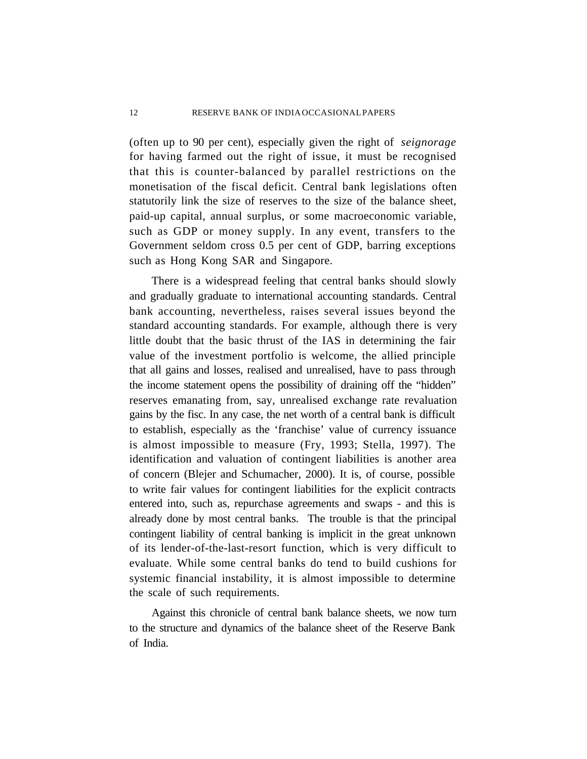(often up to 90 per cent), especially given the right of *seignorage* for having farmed out the right of issue, it must be recognised that this is counter-balanced by parallel restrictions on the monetisation of the fiscal deficit. Central bank legislations often statutorily link the size of reserves to the size of the balance sheet, paid-up capital, annual surplus, or some macroeconomic variable, such as GDP or money supply. In any event, transfers to the Government seldom cross 0.5 per cent of GDP, barring exceptions such as Hong Kong SAR and Singapore.

There is a widespread feeling that central banks should slowly and gradually graduate to international accounting standards. Central bank accounting, nevertheless, raises several issues beyond the standard accounting standards. For example, although there is very little doubt that the basic thrust of the IAS in determining the fair value of the investment portfolio is welcome, the allied principle that all gains and losses, realised and unrealised, have to pass through the income statement opens the possibility of draining off the "hidden" reserves emanating from, say, unrealised exchange rate revaluation gains by the fisc. In any case, the net worth of a central bank is difficult to establish, especially as the 'franchise' value of currency issuance is almost impossible to measure (Fry, 1993; Stella, 1997). The identification and valuation of contingent liabilities is another area of concern (Blejer and Schumacher, 2000). It is, of course, possible to write fair values for contingent liabilities for the explicit contracts entered into, such as, repurchase agreements and swaps - and this is already done by most central banks. The trouble is that the principal contingent liability of central banking is implicit in the great unknown of its lender-of-the-last-resort function, which is very difficult to evaluate. While some central banks do tend to build cushions for systemic financial instability, it is almost impossible to determine the scale of such requirements.

Against this chronicle of central bank balance sheets, we now turn to the structure and dynamics of the balance sheet of the Reserve Bank of India.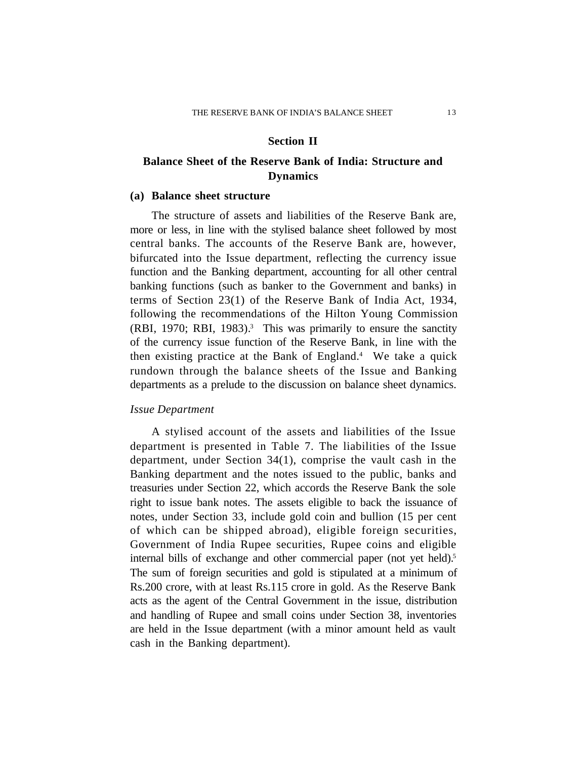#### **Section II**

# **Balance Sheet of the Reserve Bank of India: Structure and Dynamics**

#### **(a) Balance sheet structure**

The structure of assets and liabilities of the Reserve Bank are, more or less, in line with the stylised balance sheet followed by most central banks. The accounts of the Reserve Bank are, however, bifurcated into the Issue department, reflecting the currency issue function and the Banking department, accounting for all other central banking functions (such as banker to the Government and banks) in terms of Section 23(1) of the Reserve Bank of India Act, 1934, following the recommendations of the Hilton Young Commission  $(RBI, 1970; RBI, 1983).$ <sup>3</sup> This was primarily to ensure the sanctity of the currency issue function of the Reserve Bank, in line with the then existing practice at the Bank of England.<sup>4</sup> We take a quick rundown through the balance sheets of the Issue and Banking departments as a prelude to the discussion on balance sheet dynamics.

#### *Issue Department*

A stylised account of the assets and liabilities of the Issue department is presented in Table 7. The liabilities of the Issue department, under Section 34(1), comprise the vault cash in the Banking department and the notes issued to the public, banks and treasuries under Section 22, which accords the Reserve Bank the sole right to issue bank notes. The assets eligible to back the issuance of notes, under Section 33, include gold coin and bullion (15 per cent of which can be shipped abroad), eligible foreign securities, Government of India Rupee securities, Rupee coins and eligible internal bills of exchange and other commercial paper (not yet held).<sup>5</sup> The sum of foreign securities and gold is stipulated at a minimum of Rs.200 crore, with at least Rs.115 crore in gold. As the Reserve Bank acts as the agent of the Central Government in the issue, distribution and handling of Rupee and small coins under Section 38, inventories are held in the Issue department (with a minor amount held as vault cash in the Banking department).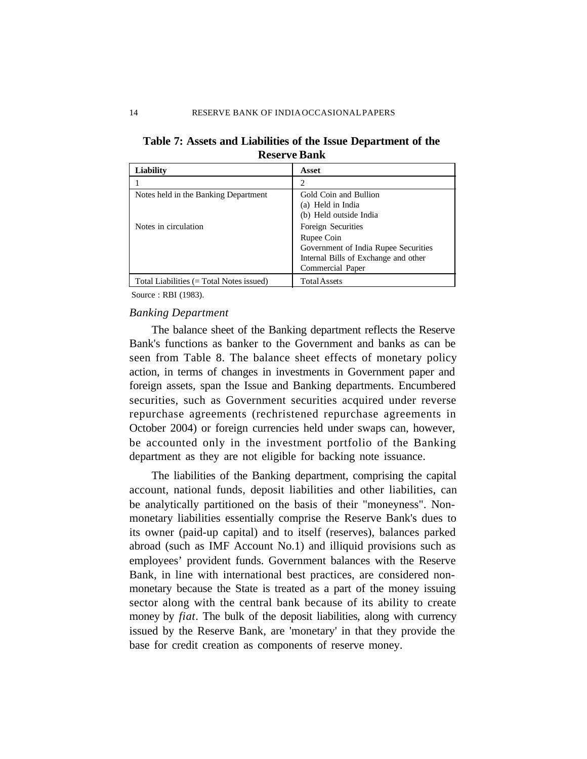| <b>Liability</b>                         | Asset                                |
|------------------------------------------|--------------------------------------|
|                                          | 2                                    |
| Notes held in the Banking Department     | Gold Coin and Bullion                |
|                                          | (a) Held in India                    |
|                                          | (b) Held outside India               |
| Notes in circulation                     | Foreign Securities                   |
|                                          | Rupee Coin                           |
|                                          | Government of India Rupee Securities |
|                                          | Internal Bills of Exchange and other |
|                                          | Commercial Paper                     |
| Total Liabilities (= Total Notes issued) | <b>Total Assets</b>                  |

**Table 7: Assets and Liabilities of the Issue Department of the Reserve Bank**

Source : RBI (1983).

#### *Banking Department*

The balance sheet of the Banking department reflects the Reserve Bank's functions as banker to the Government and banks as can be seen from Table 8. The balance sheet effects of monetary policy action, in terms of changes in investments in Government paper and foreign assets, span the Issue and Banking departments. Encumbered securities, such as Government securities acquired under reverse repurchase agreements (rechristened repurchase agreements in October 2004) or foreign currencies held under swaps can, however, be accounted only in the investment portfolio of the Banking department as they are not eligible for backing note issuance.

The liabilities of the Banking department, comprising the capital account, national funds, deposit liabilities and other liabilities, can be analytically partitioned on the basis of their "moneyness". Nonmonetary liabilities essentially comprise the Reserve Bank's dues to its owner (paid-up capital) and to itself (reserves), balances parked abroad (such as IMF Account No.1) and illiquid provisions such as employees' provident funds. Government balances with the Reserve Bank, in line with international best practices, are considered nonmonetary because the State is treated as a part of the money issuing sector along with the central bank because of its ability to create money by *fiat*. The bulk of the deposit liabilities, along with currency issued by the Reserve Bank, are 'monetary' in that they provide the base for credit creation as components of reserve money.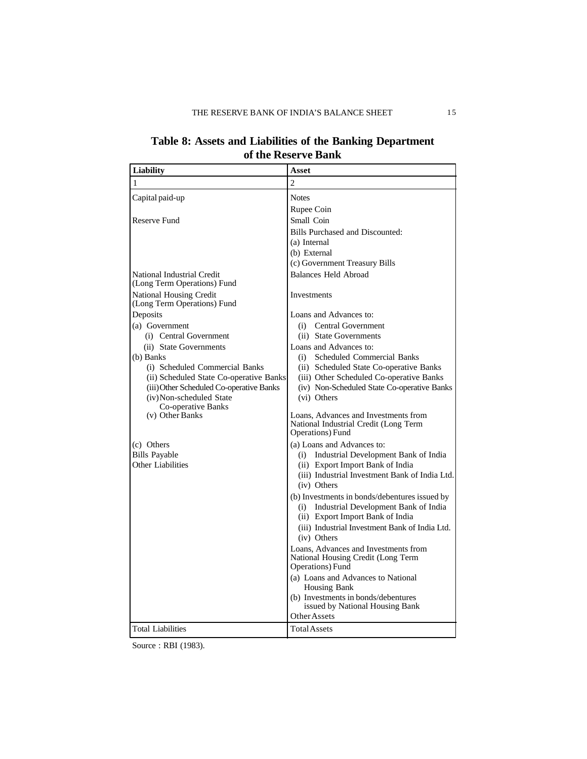| Table 8: Assets and Liabilities of the Banking Department |                     |  |  |
|-----------------------------------------------------------|---------------------|--|--|
|                                                           | of the Reserve Bank |  |  |

| Liability                                                                 | Asset                                                                                             |
|---------------------------------------------------------------------------|---------------------------------------------------------------------------------------------------|
| 1                                                                         | $\overline{2}$                                                                                    |
| Capital paid-up                                                           | <b>Notes</b>                                                                                      |
|                                                                           | Rupee Coin                                                                                        |
| <b>Reserve Fund</b>                                                       | Small Coin                                                                                        |
|                                                                           | <b>Bills Purchased and Discounted:</b>                                                            |
|                                                                           | (a) Internal                                                                                      |
|                                                                           | (b) External                                                                                      |
|                                                                           | (c) Government Treasury Bills                                                                     |
| National Industrial Credit<br>(Long Term Operations) Fund                 | Balances Held Abroad                                                                              |
| National Housing Credit                                                   | Investments                                                                                       |
| (Long Term Operations) Fund                                               |                                                                                                   |
| Deposits                                                                  | Loans and Advances to:                                                                            |
| (a) Government                                                            | (i) Central Government                                                                            |
| (i) Central Government                                                    | (ii) State Governments                                                                            |
| (ii) State Governments                                                    | Loans and Advances to:                                                                            |
| (b) Banks                                                                 | Scheduled Commercial Banks<br>(i)                                                                 |
| (i) Scheduled Commercial Banks<br>(ii) Scheduled State Co-operative Banks | (ii) Scheduled State Co-operative Banks<br>(iii) Other Scheduled Co-operative Banks               |
| (iii) Other Scheduled Co-operative Banks                                  | (iv) Non-Scheduled State Co-operative Banks                                                       |
| (iv) Non-scheduled State                                                  | (vi) Others                                                                                       |
| Co-operative Banks                                                        |                                                                                                   |
| (v) Other Banks                                                           | Loans, Advances and Investments from<br>National Industrial Credit (Long Term<br>Operations) Fund |
| (c) Others                                                                | (a) Loans and Advances to:                                                                        |
| <b>Bills Payable</b>                                                      | Industrial Development Bank of India<br>(i)                                                       |
| <b>Other Liabilities</b>                                                  | (ii) Export Import Bank of India                                                                  |
|                                                                           | (iii) Industrial Investment Bank of India Ltd.<br>(iv) Others                                     |
|                                                                           | (b) Investments in bonds/debentures issued by                                                     |
|                                                                           | Industrial Development Bank of India<br>(i)                                                       |
|                                                                           | (ii) Export Import Bank of India                                                                  |
|                                                                           | (iii) Industrial Investment Bank of India Ltd.<br>(iv) Others                                     |
|                                                                           | Loans, Advances and Investments from<br>National Housing Credit (Long Term<br>Operations) Fund    |
|                                                                           | (a) Loans and Advances to National<br>Housing Bank                                                |
|                                                                           | (b) Investments in bonds/debentures<br>issued by National Housing Bank                            |
|                                                                           | Other Assets                                                                                      |
| <b>Total Liabilities</b>                                                  | <b>Total Assets</b>                                                                               |

Source : RBI (1983).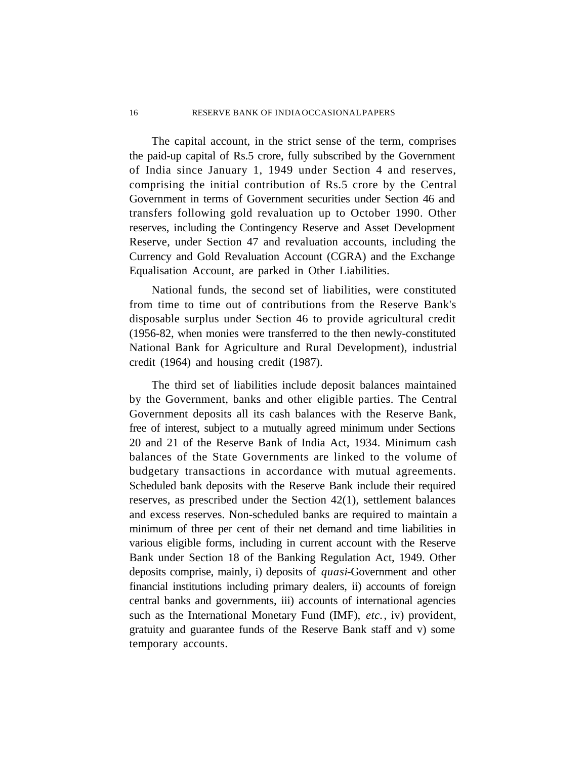The capital account, in the strict sense of the term, comprises the paid-up capital of Rs.5 crore, fully subscribed by the Government of India since January 1, 1949 under Section 4 and reserves, comprising the initial contribution of Rs.5 crore by the Central Government in terms of Government securities under Section 46 and transfers following gold revaluation up to October 1990. Other reserves, including the Contingency Reserve and Asset Development Reserve, under Section 47 and revaluation accounts, including the Currency and Gold Revaluation Account (CGRA) and the Exchange Equalisation Account, are parked in Other Liabilities.

National funds, the second set of liabilities, were constituted from time to time out of contributions from the Reserve Bank's disposable surplus under Section 46 to provide agricultural credit (1956-82, when monies were transferred to the then newly-constituted National Bank for Agriculture and Rural Development), industrial credit (1964) and housing credit (1987).

The third set of liabilities include deposit balances maintained by the Government, banks and other eligible parties. The Central Government deposits all its cash balances with the Reserve Bank, free of interest, subject to a mutually agreed minimum under Sections 20 and 21 of the Reserve Bank of India Act, 1934. Minimum cash balances of the State Governments are linked to the volume of budgetary transactions in accordance with mutual agreements. Scheduled bank deposits with the Reserve Bank include their required reserves, as prescribed under the Section 42(1), settlement balances and excess reserves. Non-scheduled banks are required to maintain a minimum of three per cent of their net demand and time liabilities in various eligible forms, including in current account with the Reserve Bank under Section 18 of the Banking Regulation Act, 1949. Other deposits comprise, mainly, i) deposits of *quasi*-Government and other financial institutions including primary dealers, ii) accounts of foreign central banks and governments, iii) accounts of international agencies such as the International Monetary Fund (IMF), *etc.*, iv) provident, gratuity and guarantee funds of the Reserve Bank staff and v) some temporary accounts.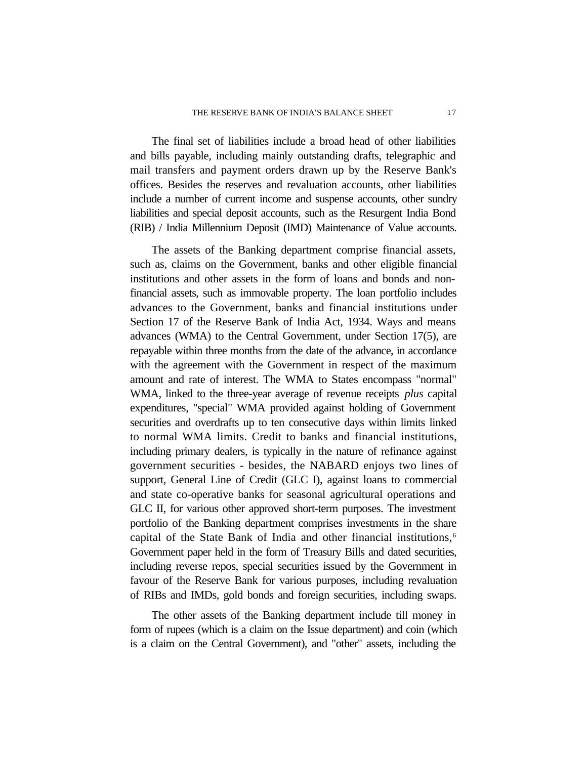The final set of liabilities include a broad head of other liabilities and bills payable, including mainly outstanding drafts, telegraphic and mail transfers and payment orders drawn up by the Reserve Bank's offices. Besides the reserves and revaluation accounts, other liabilities include a number of current income and suspense accounts, other sundry liabilities and special deposit accounts, such as the Resurgent India Bond (RIB) / India Millennium Deposit (IMD) Maintenance of Value accounts.

The assets of the Banking department comprise financial assets, such as, claims on the Government, banks and other eligible financial institutions and other assets in the form of loans and bonds and nonfinancial assets, such as immovable property. The loan portfolio includes advances to the Government, banks and financial institutions under Section 17 of the Reserve Bank of India Act, 1934. Ways and means advances (WMA) to the Central Government, under Section 17(5), are repayable within three months from the date of the advance, in accordance with the agreement with the Government in respect of the maximum amount and rate of interest. The WMA to States encompass "normal" WMA, linked to the three-year average of revenue receipts *plus* capital expenditures, "special" WMA provided against holding of Government securities and overdrafts up to ten consecutive days within limits linked to normal WMA limits. Credit to banks and financial institutions, including primary dealers, is typically in the nature of refinance against government securities - besides, the NABARD enjoys two lines of support, General Line of Credit (GLC I), against loans to commercial and state co-operative banks for seasonal agricultural operations and GLC II, for various other approved short-term purposes. The investment portfolio of the Banking department comprises investments in the share capital of the State Bank of India and other financial institutions,<sup>6</sup> Government paper held in the form of Treasury Bills and dated securities, including reverse repos, special securities issued by the Government in favour of the Reserve Bank for various purposes, including revaluation of RIBs and IMDs, gold bonds and foreign securities, including swaps.

The other assets of the Banking department include till money in form of rupees (which is a claim on the Issue department) and coin (which is a claim on the Central Government), and "other" assets, including the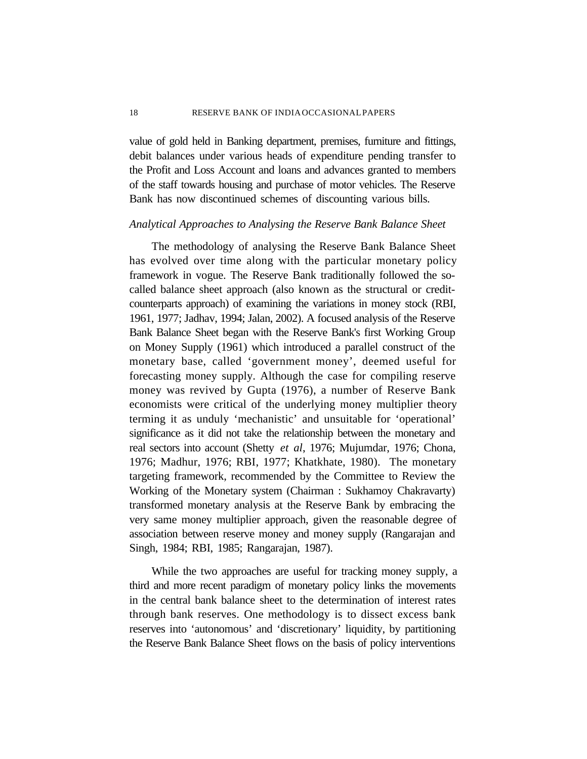value of gold held in Banking department, premises, furniture and fittings, debit balances under various heads of expenditure pending transfer to the Profit and Loss Account and loans and advances granted to members of the staff towards housing and purchase of motor vehicles. The Reserve Bank has now discontinued schemes of discounting various bills.

#### *Analytical Approaches to Analysing the Reserve Bank Balance Sheet*

The methodology of analysing the Reserve Bank Balance Sheet has evolved over time along with the particular monetary policy framework in vogue. The Reserve Bank traditionally followed the socalled balance sheet approach (also known as the structural or creditcounterparts approach) of examining the variations in money stock (RBI, 1961, 1977; Jadhav, 1994; Jalan, 2002). A focused analysis of the Reserve Bank Balance Sheet began with the Reserve Bank's first Working Group on Money Supply (1961) which introduced a parallel construct of the monetary base, called 'government money', deemed useful for forecasting money supply. Although the case for compiling reserve money was revived by Gupta (1976), a number of Reserve Bank economists were critical of the underlying money multiplier theory terming it as unduly 'mechanistic' and unsuitable for 'operational' significance as it did not take the relationship between the monetary and real sectors into account (Shetty *et al*, 1976; Mujumdar, 1976; Chona, 1976; Madhur, 1976; RBI, 1977; Khatkhate, 1980). The monetary targeting framework, recommended by the Committee to Review the Working of the Monetary system (Chairman : Sukhamoy Chakravarty) transformed monetary analysis at the Reserve Bank by embracing the very same money multiplier approach, given the reasonable degree of association between reserve money and money supply (Rangarajan and Singh, 1984; RBI, 1985; Rangarajan, 1987).

While the two approaches are useful for tracking money supply, a third and more recent paradigm of monetary policy links the movements in the central bank balance sheet to the determination of interest rates through bank reserves. One methodology is to dissect excess bank reserves into 'autonomous' and 'discretionary' liquidity, by partitioning the Reserve Bank Balance Sheet flows on the basis of policy interventions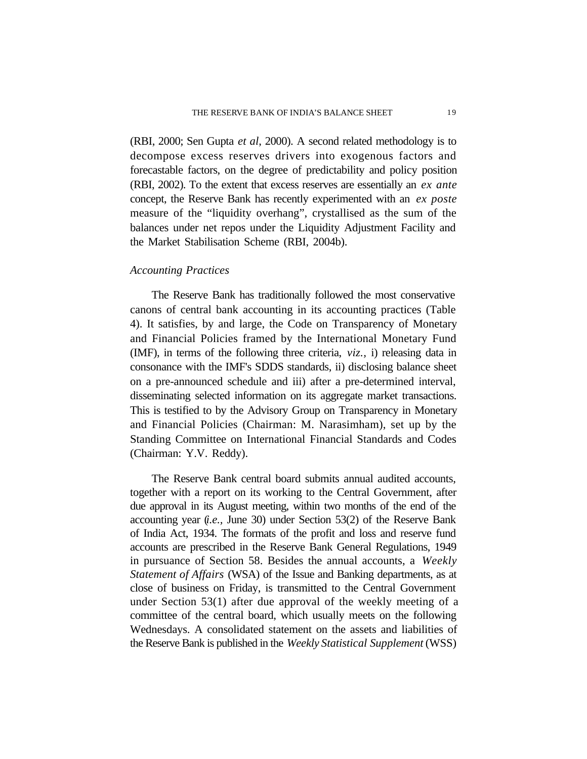(RBI, 2000; Sen Gupta *et al*, 2000). A second related methodology is to decompose excess reserves drivers into exogenous factors and forecastable factors, on the degree of predictability and policy position (RBI, 2002). To the extent that excess reserves are essentially an *ex ante* concept, the Reserve Bank has recently experimented with an *ex poste* measure of the "liquidity overhang", crystallised as the sum of the balances under net repos under the Liquidity Adjustment Facility and the Market Stabilisation Scheme (RBI, 2004b).

#### *Accounting Practices*

The Reserve Bank has traditionally followed the most conservative canons of central bank accounting in its accounting practices (Table 4). It satisfies, by and large, the Code on Transparency of Monetary and Financial Policies framed by the International Monetary Fund (IMF), in terms of the following three criteria, *viz.,* i) releasing data in consonance with the IMF's SDDS standards, ii) disclosing balance sheet on a pre-announced schedule and iii) after a pre-determined interval, disseminating selected information on its aggregate market transactions. This is testified to by the Advisory Group on Transparency in Monetary and Financial Policies (Chairman: M. Narasimham), set up by the Standing Committee on International Financial Standards and Codes (Chairman: Y.V. Reddy).

The Reserve Bank central board submits annual audited accounts, together with a report on its working to the Central Government, after due approval in its August meeting, within two months of the end of the accounting year (*i.e.,* June 30) under Section 53(2) of the Reserve Bank of India Act, 1934. The formats of the profit and loss and reserve fund accounts are prescribed in the Reserve Bank General Regulations, 1949 in pursuance of Section 58. Besides the annual accounts, a *Weekly Statement of Affairs* (WSA) of the Issue and Banking departments, as at close of business on Friday, is transmitted to the Central Government under Section 53(1) after due approval of the weekly meeting of a committee of the central board, which usually meets on the following Wednesdays. A consolidated statement on the assets and liabilities of the Reserve Bank is published in the *Weekly Statistical Supplement* (WSS)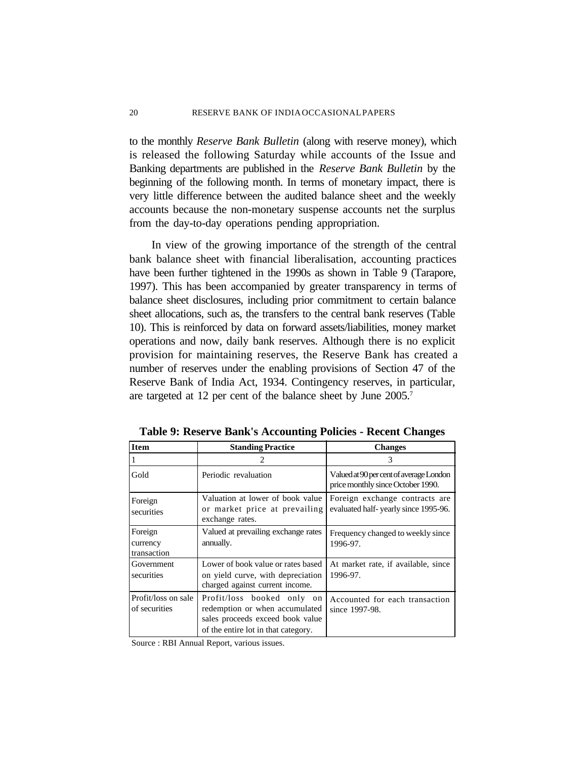to the monthly *Reserve Bank Bulletin* (along with reserve money), which is released the following Saturday while accounts of the Issue and Banking departments are published in the *Reserve Bank Bulletin* by the beginning of the following month. In terms of monetary impact, there is very little difference between the audited balance sheet and the weekly accounts because the non-monetary suspense accounts net the surplus from the day-to-day operations pending appropriation.

In view of the growing importance of the strength of the central bank balance sheet with financial liberalisation, accounting practices have been further tightened in the 1990s as shown in Table 9 (Tarapore, 1997). This has been accompanied by greater transparency in terms of balance sheet disclosures, including prior commitment to certain balance sheet allocations, such as, the transfers to the central bank reserves (Table 10). This is reinforced by data on forward assets/liabilities, money market operations and now, daily bank reserves. Although there is no explicit provision for maintaining reserves, the Reserve Bank has created a number of reserves under the enabling provisions of Section 47 of the Reserve Bank of India Act, 1934. Contingency reserves, in particular, are targeted at 12 per cent of the balance sheet by June 2005.<sup>7</sup>

| <b>Item</b>                          | <b>Standing Practice</b>                                                                                                                | <b>Changes</b>                                                               |
|--------------------------------------|-----------------------------------------------------------------------------------------------------------------------------------------|------------------------------------------------------------------------------|
|                                      |                                                                                                                                         | 3                                                                            |
| Gold                                 | Periodic revaluation                                                                                                                    | Valued at 90 per cent of average London<br>price monthly since October 1990. |
| Foreign<br>securities                | Valuation at lower of book value<br>or market price at prevailing<br>exchange rates.                                                    | Foreign exchange contracts are<br>evaluated half-yearly since 1995-96.       |
| Foreign<br>currency<br>transaction   | Valued at prevailing exchange rates<br>annually.                                                                                        | Frequency changed to weekly since<br>1996-97.                                |
| Government<br>securities             | Lower of book value or rates based<br>on yield curve, with depreciation<br>charged against current income.                              | At market rate, if available, since<br>1996-97.                              |
| Profit/loss on sale<br>of securities | Profit/loss booked only on<br>redemption or when accumulated<br>sales proceeds exceed book value<br>of the entire lot in that category. | Accounted for each transaction<br>since 1997-98.                             |

**Table 9: Reserve Bank's Accounting Policies - Recent Changes**

Source : RBI Annual Report, various issues.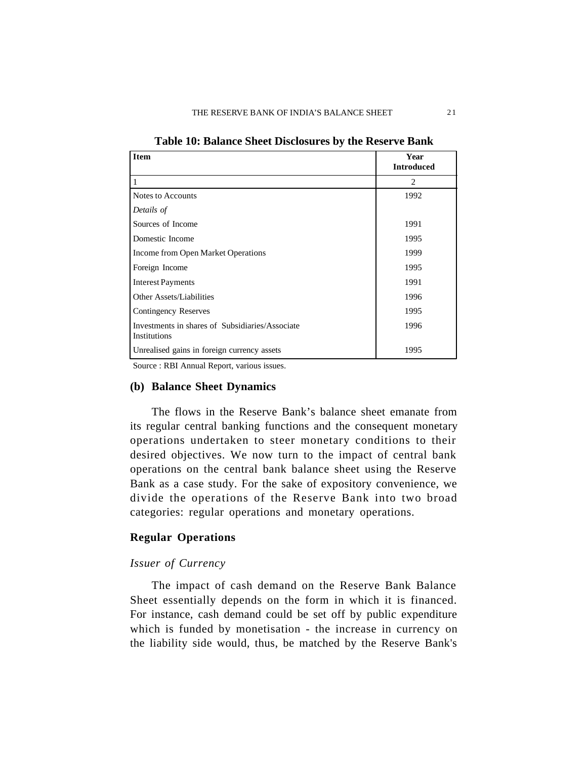| <b>Item</b>                                                     | Year<br><b>Introduced</b>     |
|-----------------------------------------------------------------|-------------------------------|
| 1                                                               | $\mathfrak{D}_{\mathfrak{p}}$ |
| Notes to Accounts                                               | 1992                          |
| Details of                                                      |                               |
| Sources of Income                                               | 1991                          |
| Domestic Income                                                 | 1995                          |
| Income from Open Market Operations                              | 1999                          |
| Foreign Income                                                  | 1995                          |
| <b>Interest Payments</b>                                        | 1991                          |
| Other Assets/Liabilities                                        | 1996                          |
| Contingency Reserves                                            | 1995                          |
| Investments in shares of Subsidiaries/Associate<br>Institutions | 1996                          |
| Unrealised gains in foreign currency assets                     | 1995                          |

**Table 10: Balance Sheet Disclosures by the Reserve Bank**

Source : RBI Annual Report, various issues.

#### **(b) Balance Sheet Dynamics**

The flows in the Reserve Bank's balance sheet emanate from its regular central banking functions and the consequent monetary operations undertaken to steer monetary conditions to their desired objectives. We now turn to the impact of central bank operations on the central bank balance sheet using the Reserve Bank as a case study. For the sake of expository convenience, we divide the operations of the Reserve Bank into two broad categories: regular operations and monetary operations.

#### **Regular Operations**

#### *Issuer of Currency*

The impact of cash demand on the Reserve Bank Balance Sheet essentially depends on the form in which it is financed. For instance, cash demand could be set off by public expenditure which is funded by monetisation - the increase in currency on the liability side would, thus, be matched by the Reserve Bank's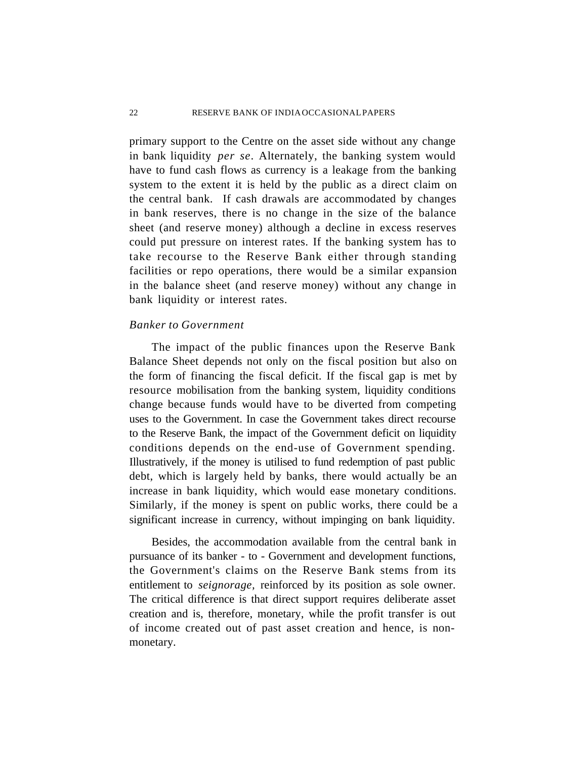primary support to the Centre on the asset side without any change in bank liquidity *per se*. Alternately, the banking system would have to fund cash flows as currency is a leakage from the banking system to the extent it is held by the public as a direct claim on the central bank. If cash drawals are accommodated by changes in bank reserves, there is no change in the size of the balance sheet (and reserve money) although a decline in excess reserves could put pressure on interest rates. If the banking system has to take recourse to the Reserve Bank either through standing facilities or repo operations, there would be a similar expansion in the balance sheet (and reserve money) without any change in bank liquidity or interest rates.

#### *Banker to Government*

The impact of the public finances upon the Reserve Bank Balance Sheet depends not only on the fiscal position but also on the form of financing the fiscal deficit. If the fiscal gap is met by resource mobilisation from the banking system, liquidity conditions change because funds would have to be diverted from competing uses to the Government. In case the Government takes direct recourse to the Reserve Bank, the impact of the Government deficit on liquidity conditions depends on the end-use of Government spending. Illustratively, if the money is utilised to fund redemption of past public debt, which is largely held by banks, there would actually be an increase in bank liquidity, which would ease monetary conditions. Similarly, if the money is spent on public works, there could be a significant increase in currency, without impinging on bank liquidity.

Besides, the accommodation available from the central bank in pursuance of its banker - to - Government and development functions, the Government's claims on the Reserve Bank stems from its entitlement to *seignorage,* reinforced by its position as sole owner. The critical difference is that direct support requires deliberate asset creation and is, therefore, monetary, while the profit transfer is out of income created out of past asset creation and hence, is nonmonetary.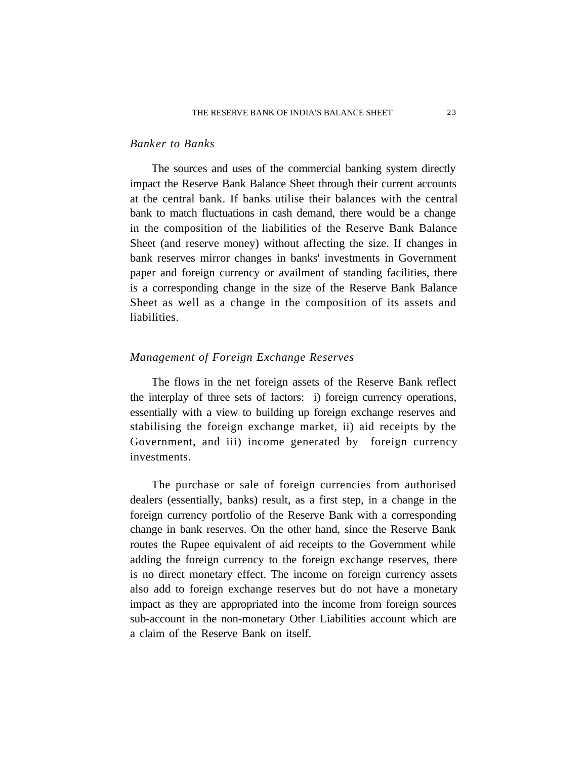#### *Banker to Banks*

The sources and uses of the commercial banking system directly impact the Reserve Bank Balance Sheet through their current accounts at the central bank. If banks utilise their balances with the central bank to match fluctuations in cash demand, there would be a change in the composition of the liabilities of the Reserve Bank Balance Sheet (and reserve money) without affecting the size. If changes in bank reserves mirror changes in banks' investments in Government paper and foreign currency or availment of standing facilities, there is a corresponding change in the size of the Reserve Bank Balance Sheet as well as a change in the composition of its assets and liabilities.

#### *Management of Foreign Exchange Reserves*

The flows in the net foreign assets of the Reserve Bank reflect the interplay of three sets of factors: i) foreign currency operations, essentially with a view to building up foreign exchange reserves and stabilising the foreign exchange market, ii) aid receipts by the Government, and iii) income generated by foreign currency investments.

The purchase or sale of foreign currencies from authorised dealers (essentially, banks) result, as a first step, in a change in the foreign currency portfolio of the Reserve Bank with a corresponding change in bank reserves. On the other hand, since the Reserve Bank routes the Rupee equivalent of aid receipts to the Government while adding the foreign currency to the foreign exchange reserves, there is no direct monetary effect. The income on foreign currency assets also add to foreign exchange reserves but do not have a monetary impact as they are appropriated into the income from foreign sources sub-account in the non-monetary Other Liabilities account which are a claim of the Reserve Bank on itself.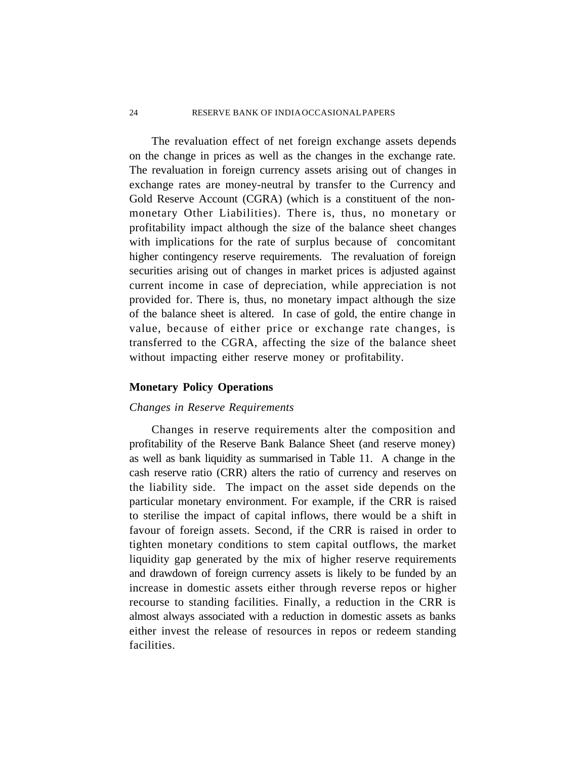The revaluation effect of net foreign exchange assets depends on the change in prices as well as the changes in the exchange rate. The revaluation in foreign currency assets arising out of changes in exchange rates are money-neutral by transfer to the Currency and Gold Reserve Account (CGRA) (which is a constituent of the nonmonetary Other Liabilities). There is, thus, no monetary or profitability impact although the size of the balance sheet changes with implications for the rate of surplus because of concomitant higher contingency reserve requirements. The revaluation of foreign securities arising out of changes in market prices is adjusted against current income in case of depreciation, while appreciation is not provided for. There is, thus, no monetary impact although the size of the balance sheet is altered. In case of gold, the entire change in value, because of either price or exchange rate changes, is transferred to the CGRA, affecting the size of the balance sheet without impacting either reserve money or profitability.

#### **Monetary Policy Operations**

#### *Changes in Reserve Requirements*

Changes in reserve requirements alter the composition and profitability of the Reserve Bank Balance Sheet (and reserve money) as well as bank liquidity as summarised in Table 11. A change in the cash reserve ratio (CRR) alters the ratio of currency and reserves on the liability side. The impact on the asset side depends on the particular monetary environment. For example, if the CRR is raised to sterilise the impact of capital inflows, there would be a shift in favour of foreign assets. Second, if the CRR is raised in order to tighten monetary conditions to stem capital outflows, the market liquidity gap generated by the mix of higher reserve requirements and drawdown of foreign currency assets is likely to be funded by an increase in domestic assets either through reverse repos or higher recourse to standing facilities. Finally, a reduction in the CRR is almost always associated with a reduction in domestic assets as banks either invest the release of resources in repos or redeem standing facilities.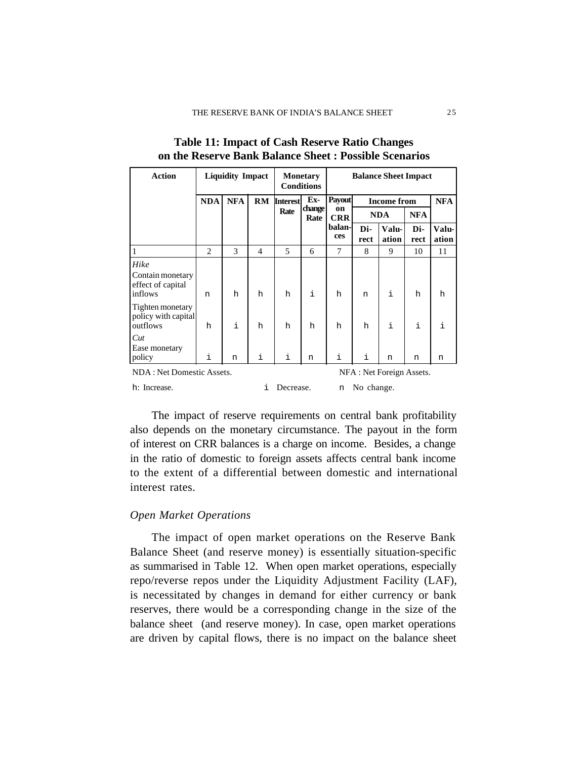| <b>Action</b>                                       | <b>Liquidity Impact</b> |            | <b>Monetary</b><br><b>Conditions</b> |                 | <b>Balance Sheet Impact</b> |                  |             |                           |             |                |  |
|-----------------------------------------------------|-------------------------|------------|--------------------------------------|-----------------|-----------------------------|------------------|-------------|---------------------------|-------------|----------------|--|
|                                                     | <b>NDA</b>              | <b>NFA</b> | RM                                   | <b>Interest</b> | Ex-                         | <b>Payout</b>    |             | <b>Income from</b>        |             | <b>NFA</b>     |  |
|                                                     |                         |            |                                      | Rate            | change<br>Rate              | on<br><b>CRR</b> |             | <b>NDA</b>                | <b>NFA</b>  |                |  |
|                                                     |                         |            |                                      |                 |                             | balan-<br>ces    | Di-<br>rect | Valu-<br>ation            | Di-<br>rect | Valu-<br>ation |  |
|                                                     | $\overline{c}$          | 3          | $\overline{4}$                       | 5               | 6                           | 7                | 8           | 9                         | 10          | 11             |  |
| Hike                                                |                         |            |                                      |                 |                             |                  |             |                           |             |                |  |
| Contain monetary<br>effect of capital<br>inflows    | n                       | h          | h                                    | h               | i                           | h                | n           | i                         | h           | h              |  |
| Tighten monetary<br>policy with capital<br>outflows | h                       | i          | h                                    | h               | h                           | h                | h           | i                         | i           | i              |  |
| Cut<br>Ease monetary<br>policy                      | i                       | n          | i                                    | i               | n                           | i                | i           | n                         | n           | n              |  |
| NDA: Net Domestic Assets.                           |                         |            |                                      |                 |                             |                  |             | NFA : Net Foreign Assets. |             |                |  |
| h: Increase.                                        |                         |            | i                                    | Decrease.       |                             | n                | No change.  |                           |             |                |  |

#### **Table 11: Impact of Cash Reserve Ratio Changes on the Reserve Bank Balance Sheet : Possible Scenarios**

The impact of reserve requirements on central bank profitability also depends on the monetary circumstance. The payout in the form of interest on CRR balances is a charge on income. Besides, a change in the ratio of domestic to foreign assets affects central bank income to the extent of a differential between domestic and international interest rates.

#### *Open Market Operations*

The impact of open market operations on the Reserve Bank Balance Sheet (and reserve money) is essentially situation-specific as summarised in Table 12. When open market operations, especially repo/reverse repos under the Liquidity Adjustment Facility (LAF), is necessitated by changes in demand for either currency or bank reserves, there would be a corresponding change in the size of the balance sheet (and reserve money). In case, open market operations are driven by capital flows, there is no impact on the balance sheet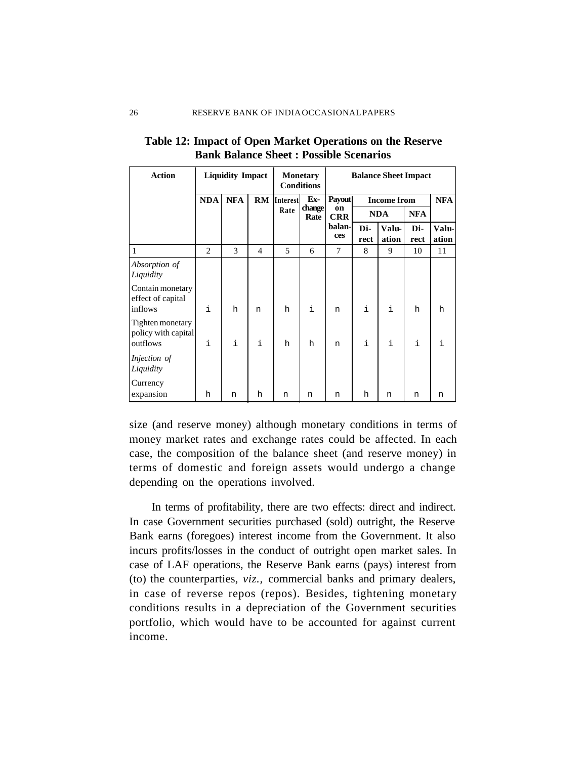| <b>Action</b>                                       | <b>Liquidity Impact</b> |            |                |                 | <b>Monetary</b><br><b>Conditions</b> | <b>Balance Sheet Impact</b> |             |                    |             |                |
|-----------------------------------------------------|-------------------------|------------|----------------|-----------------|--------------------------------------|-----------------------------|-------------|--------------------|-------------|----------------|
|                                                     | <b>NDA</b>              | <b>NFA</b> | RM             | <b>Interest</b> | Ex-                                  | <b>Payout</b>               |             | <b>Income from</b> |             | <b>NFA</b>     |
|                                                     |                         |            |                | Rate            | change<br>Rate                       | on<br><b>CRR</b>            |             | <b>NDA</b>         | <b>NFA</b>  |                |
|                                                     |                         |            |                |                 |                                      | balan-<br>ces               | Di-<br>rect | Valu-<br>ation     | Di-<br>rect | Valu-<br>ation |
| $\mathbf{1}$                                        | $\overline{c}$          | 3          | $\overline{4}$ | 5               | 6                                    | 7                           | 8           | 9                  | 10          | 11             |
| Absorption of<br>Liquidity                          |                         |            |                |                 |                                      |                             |             |                    |             |                |
| Contain monetary<br>effect of capital<br>inflows    | i                       | h          | n              | h               | i                                    | n                           | i           | i                  | h           | h              |
| Tighten monetary<br>policy with capital<br>outflows | i                       | i          | $\mathbf{i}$   | h               | h                                    | n                           | i           | i                  | i           | i              |
| Injection of<br>Liquidity                           |                         |            |                |                 |                                      |                             |             |                    |             |                |
| Currency<br>expansion                               | h                       | n          | h              | n               | n                                    | n                           | h           | n                  | n           | n              |

### **Table 12: Impact of Open Market Operations on the Reserve Bank Balance Sheet : Possible Scenarios**

size (and reserve money) although monetary conditions in terms of money market rates and exchange rates could be affected. In each case, the composition of the balance sheet (and reserve money) in terms of domestic and foreign assets would undergo a change depending on the operations involved.

In terms of profitability, there are two effects: direct and indirect. In case Government securities purchased (sold) outright, the Reserve Bank earns (foregoes) interest income from the Government. It also incurs profits/losses in the conduct of outright open market sales. In case of LAF operations, the Reserve Bank earns (pays) interest from (to) the counterparties, *viz.,* commercial banks and primary dealers, in case of reverse repos (repos). Besides, tightening monetary conditions results in a depreciation of the Government securities portfolio, which would have to be accounted for against current income.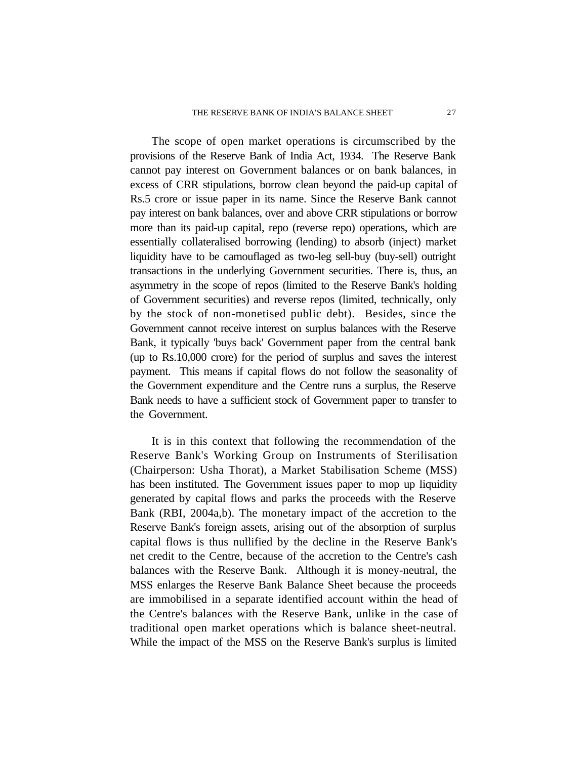The scope of open market operations is circumscribed by the provisions of the Reserve Bank of India Act, 1934. The Reserve Bank cannot pay interest on Government balances or on bank balances, in excess of CRR stipulations, borrow clean beyond the paid-up capital of Rs.5 crore or issue paper in its name. Since the Reserve Bank cannot pay interest on bank balances, over and above CRR stipulations or borrow more than its paid-up capital, repo (reverse repo) operations, which are essentially collateralised borrowing (lending) to absorb (inject) market liquidity have to be camouflaged as two-leg sell-buy (buy-sell) outright transactions in the underlying Government securities. There is, thus, an asymmetry in the scope of repos (limited to the Reserve Bank's holding of Government securities) and reverse repos (limited, technically, only by the stock of non-monetised public debt). Besides, since the Government cannot receive interest on surplus balances with the Reserve Bank, it typically 'buys back' Government paper from the central bank (up to Rs.10,000 crore) for the period of surplus and saves the interest payment. This means if capital flows do not follow the seasonality of the Government expenditure and the Centre runs a surplus, the Reserve Bank needs to have a sufficient stock of Government paper to transfer to the Government.

It is in this context that following the recommendation of the Reserve Bank's Working Group on Instruments of Sterilisation (Chairperson: Usha Thorat), a Market Stabilisation Scheme (MSS) has been instituted. The Government issues paper to mop up liquidity generated by capital flows and parks the proceeds with the Reserve Bank (RBI, 2004a,b). The monetary impact of the accretion to the Reserve Bank's foreign assets, arising out of the absorption of surplus capital flows is thus nullified by the decline in the Reserve Bank's net credit to the Centre, because of the accretion to the Centre's cash balances with the Reserve Bank. Although it is money-neutral, the MSS enlarges the Reserve Bank Balance Sheet because the proceeds are immobilised in a separate identified account within the head of the Centre's balances with the Reserve Bank, unlike in the case of traditional open market operations which is balance sheet-neutral. While the impact of the MSS on the Reserve Bank's surplus is limited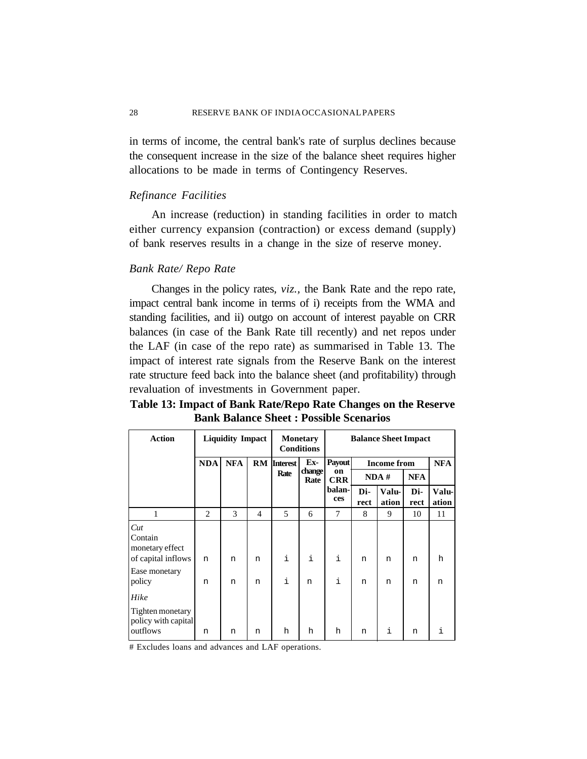in terms of income, the central bank's rate of surplus declines because the consequent increase in the size of the balance sheet requires higher allocations to be made in terms of Contingency Reserves.

#### *Refinance Facilities*

An increase (reduction) in standing facilities in order to match either currency expansion (contraction) or excess demand (supply) of bank reserves results in a change in the size of reserve money.

#### *Bank Rate/ Repo Rate*

Changes in the policy rates, *viz.,* the Bank Rate and the repo rate, impact central bank income in terms of i) receipts from the WMA and standing facilities, and ii) outgo on account of interest payable on CRR balances (in case of the Bank Rate till recently) and net repos under the LAF (in case of the repo rate) as summarised in Table 13. The impact of interest rate signals from the Reserve Bank on the interest rate structure feed back into the balance sheet (and profitability) through revaluation of investments in Government paper.

| Table 13: Impact of Bank Rate/Repo Rate Changes on the Reserve |  |
|----------------------------------------------------------------|--|
| <b>Bank Balance Sheet: Possible Scenarios</b>                  |  |

| <b>Action</b>                                                                      | <b>Liquidity Impact</b> |            |                | <b>Monetary</b><br><b>Conditions</b> | <b>Balance Sheet Impact</b> |                  |             |                    |             |                |
|------------------------------------------------------------------------------------|-------------------------|------------|----------------|--------------------------------------|-----------------------------|------------------|-------------|--------------------|-------------|----------------|
|                                                                                    | <b>NDA</b>              | <b>NFA</b> |                | <b>RM</b> Interest                   | Ex-                         | <b>Payout</b>    |             | <b>Income from</b> | <b>NFA</b>  |                |
|                                                                                    |                         |            |                | Rate                                 | change<br>Rate              | on<br><b>CRR</b> |             | NDA#               | <b>NFA</b>  |                |
|                                                                                    |                         |            |                |                                      |                             | balan-<br>ces    | Di-<br>rect | Valu-<br>ation     | Di-<br>rect | Valu-<br>ation |
| 1                                                                                  | $\overline{c}$          | 3          | $\overline{4}$ | 5                                    | 6                           | 7                | 8           | 9                  | 10          | 11             |
| Cut<br>Contain<br>monetary effect<br>of capital inflows<br>Ease monetary<br>policy | n<br>n                  | n<br>n     | n<br>n         | i<br>i                               | i<br>n                      | i<br>i           | n<br>n      | n<br>n             | n<br>n      | h<br>n         |
| Hike<br>Tighten monetary<br>policy with capital<br>outflows                        | n                       | n          | n              | h                                    | h                           | h                | n           | i                  | n           | i              |

# Excludes loans and advances and LAF operations.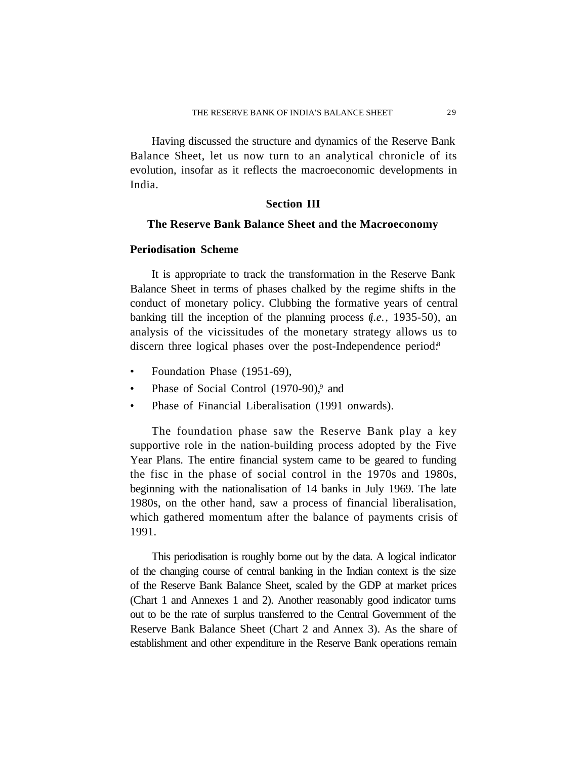Having discussed the structure and dynamics of the Reserve Bank Balance Sheet, let us now turn to an analytical chronicle of its evolution, insofar as it reflects the macroeconomic developments in India.

#### **Section III**

#### **The Reserve Bank Balance Sheet and the Macroeconomy**

#### **Periodisation Scheme**

It is appropriate to track the transformation in the Reserve Bank Balance Sheet in terms of phases chalked by the regime shifts in the conduct of monetary policy. Clubbing the formative years of central banking till the inception of the planning process (*i.e.*, 1935-50), an analysis of the vicissitudes of the monetary strategy allows us to discern three logical phases over the post-Independence period.<sup>8</sup>

- Foundation Phase (1951-69),
- Phase of Social Control  $(1970-90)$ ,<sup>9</sup> and
- Phase of Financial Liberalisation (1991 onwards).

The foundation phase saw the Reserve Bank play a key supportive role in the nation-building process adopted by the Five Year Plans. The entire financial system came to be geared to funding the fisc in the phase of social control in the 1970s and 1980s, beginning with the nationalisation of 14 banks in July 1969. The late 1980s, on the other hand, saw a process of financial liberalisation, which gathered momentum after the balance of payments crisis of 1991.

This periodisation is roughly borne out by the data. A logical indicator of the changing course of central banking in the Indian context is the size of the Reserve Bank Balance Sheet, scaled by the GDP at market prices (Chart 1 and Annexes 1 and 2). Another reasonably good indicator turns out to be the rate of surplus transferred to the Central Government of the Reserve Bank Balance Sheet (Chart 2 and Annex 3). As the share of establishment and other expenditure in the Reserve Bank operations remain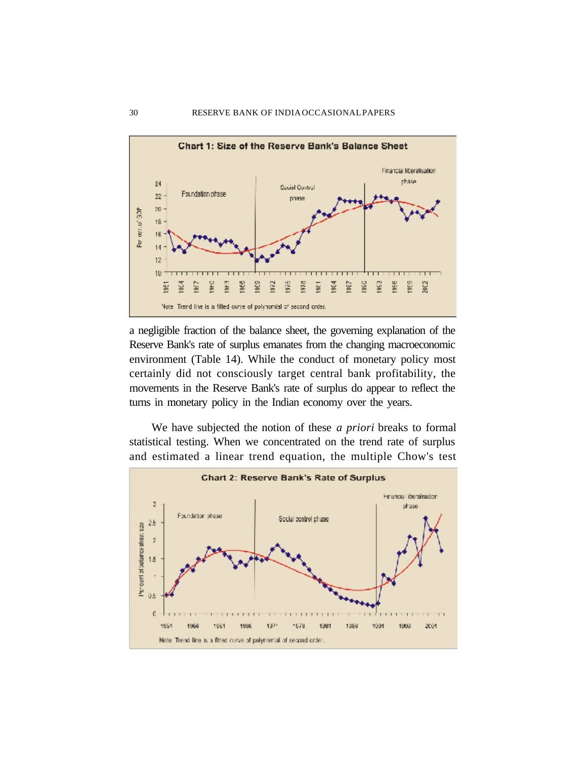

a negligible fraction of the balance sheet, the governing explanation of the Reserve Bank's rate of surplus emanates from the changing macroeconomic environment (Table 14). While the conduct of monetary policy most certainly did not consciously target central bank profitability, the movements in the Reserve Bank's rate of surplus do appear to reflect the turns in monetary policy in the Indian economy over the years.

We have subjected the notion of these *a priori* breaks to formal statistical testing. When we concentrated on the trend rate of surplus and estimated a linear trend equation, the multiple Chow's test

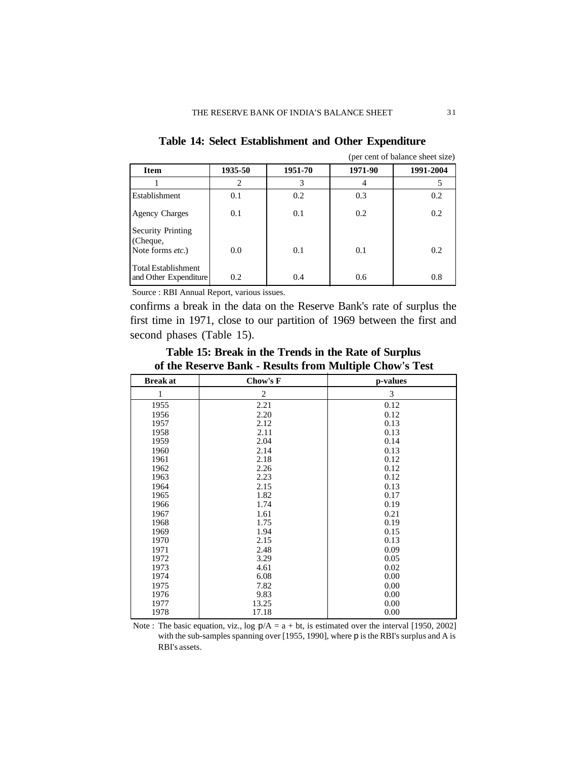|                                                          |         |         |         | (per cent of balance sheet size) |
|----------------------------------------------------------|---------|---------|---------|----------------------------------|
| <b>Item</b>                                              | 1935-50 | 1951-70 | 1971-90 | 1991-2004                        |
|                                                          | 2       | 3       | 4       |                                  |
| Establishment                                            | 0.1     | 0.2     | 0.3     | 0.2                              |
| <b>Agency Charges</b>                                    | 0.1     | 0.1     | 0.2     | 0.2                              |
| <b>Security Printing</b><br>(Cheque,<br>Note forms etc.) | 0.0     | 0.1     | 0.1     | 0.2                              |
| Total Establishment<br>and Other Expenditure             | 0.2     | 0.4     | 0.6     | 0.8                              |

**Table 14: Select Establishment and Other Expenditure**

Source : RBI Annual Report, various issues.

confirms a break in the data on the Reserve Bank's rate of surplus the first time in 1971, close to our partition of 1969 between the first and second phases (Table 15).

| Table 15: Break in the Trends in the Rate of Surplus    |  |  |
|---------------------------------------------------------|--|--|
| of the Reserve Bank - Results from Multiple Chow's Test |  |  |

| <b>Break at</b> | Chow's F       | p-values |
|-----------------|----------------|----------|
| 1               | $\overline{2}$ | 3        |
| 1955            | 2.21           | 0.12     |
| 1956            | 2.20           | 0.12     |
| 1957            | 2.12           | 0.13     |
| 1958            | 2.11           | 0.13     |
| 1959            | 2.04           | 0.14     |
| 1960            | 2.14           | 0.13     |
| 1961            | 2.18           | 0.12     |
| 1962            | 2.26           | 0.12     |
| 1963            | 2.23           | 0.12     |
| 1964            | 2.15           | 0.13     |
| 1965            | 1.82           | 0.17     |
| 1966            | 1.74           | 0.19     |
| 1967            | 1.61           | 0.21     |
| 1968            | 1.75           | 0.19     |
| 1969            | 1.94           | 0.15     |
| 1970            | 2.15           | 0.13     |
| 1971            | 2.48           | 0.09     |
| 1972            | 3.29           | 0.05     |
| 1973            | 4.61           | 0.02     |
| 1974            | 6.08           | 0.00     |
| 1975            | 7.82           | 0.00     |
| 1976            | 9.83           | 0.00     |
| 1977            | 13.25          | 0.00     |
| 1978            | 17.18          | 0.00     |

Note : The basic equation, viz.,  $log p/A = a + bt$ , is estimated over the interval [1950, 2002] with the sub-samples spanning over [1955, 1990], where p is the RBI's surplus and A is RBI's assets.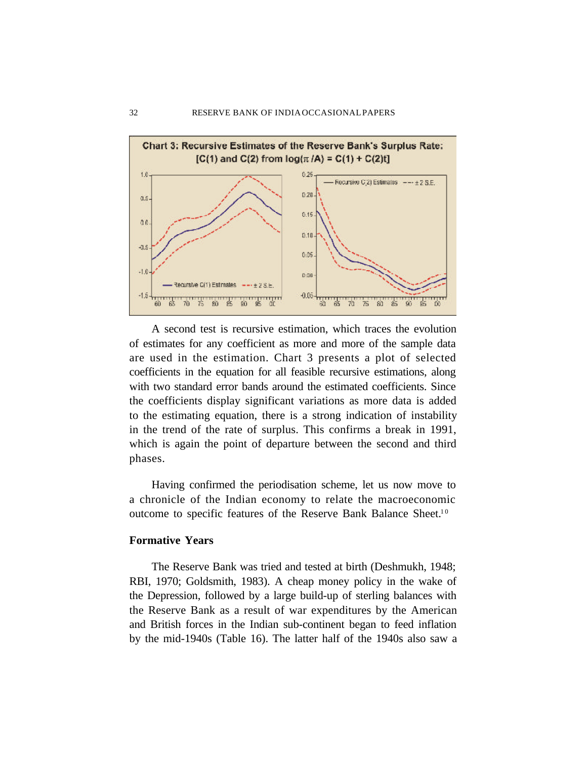

A second test is recursive estimation, which traces the evolution of estimates for any coefficient as more and more of the sample data are used in the estimation. Chart 3 presents a plot of selected coefficients in the equation for all feasible recursive estimations, along with two standard error bands around the estimated coefficients. Since the coefficients display significant variations as more data is added to the estimating equation, there is a strong indication of instability in the trend of the rate of surplus. This confirms a break in 1991, which is again the point of departure between the second and third phases.

Having confirmed the periodisation scheme, let us now move to a chronicle of the Indian economy to relate the macroeconomic outcome to specific features of the Reserve Bank Balance Sheet.<sup>10</sup>

#### **Formative Years**

The Reserve Bank was tried and tested at birth (Deshmukh, 1948; RBI, 1970; Goldsmith, 1983). A cheap money policy in the wake of the Depression, followed by a large build-up of sterling balances with the Reserve Bank as a result of war expenditures by the American and British forces in the Indian sub-continent began to feed inflation by the mid-1940s (Table 16). The latter half of the 1940s also saw a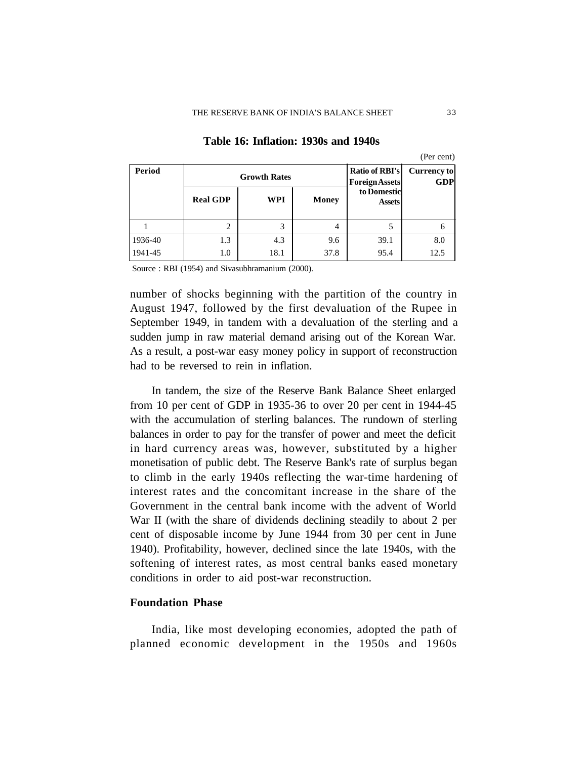| Period  |                 | <b>Growth Rates</b> |              | <b>Ratio of RBI's</b><br><b>Foreign Assets</b> | <b>Currency to</b><br><b>GDP</b> |
|---------|-----------------|---------------------|--------------|------------------------------------------------|----------------------------------|
|         | <b>Real GDP</b> | <b>WPI</b>          | <b>Money</b> | to Domestic<br><b>Assets</b>                   |                                  |
|         | 2               | 3                   | 4            |                                                |                                  |
| 1936-40 | 1.3             | 4.3                 | 9.6          | 39.1                                           | 8.0                              |
| 1941-45 | 1.0             | 18.1                | 37.8         | 95.4                                           | 12.5                             |

#### **Table 16: Inflation: 1930s and 1940s**

(Per cent)

Source : RBI (1954) and Sivasubhramanium (2000).

number of shocks beginning with the partition of the country in August 1947, followed by the first devaluation of the Rupee in September 1949, in tandem with a devaluation of the sterling and a sudden jump in raw material demand arising out of the Korean War. As a result, a post-war easy money policy in support of reconstruction had to be reversed to rein in inflation.

In tandem, the size of the Reserve Bank Balance Sheet enlarged from 10 per cent of GDP in 1935-36 to over 20 per cent in 1944-45 with the accumulation of sterling balances. The rundown of sterling balances in order to pay for the transfer of power and meet the deficit in hard currency areas was, however, substituted by a higher monetisation of public debt. The Reserve Bank's rate of surplus began to climb in the early 1940s reflecting the war-time hardening of interest rates and the concomitant increase in the share of the Government in the central bank income with the advent of World War II (with the share of dividends declining steadily to about 2 per cent of disposable income by June 1944 from 30 per cent in June 1940). Profitability, however, declined since the late 1940s, with the softening of interest rates, as most central banks eased monetary conditions in order to aid post-war reconstruction.

#### **Foundation Phase**

India, like most developing economies, adopted the path of planned economic development in the 1950s and 1960s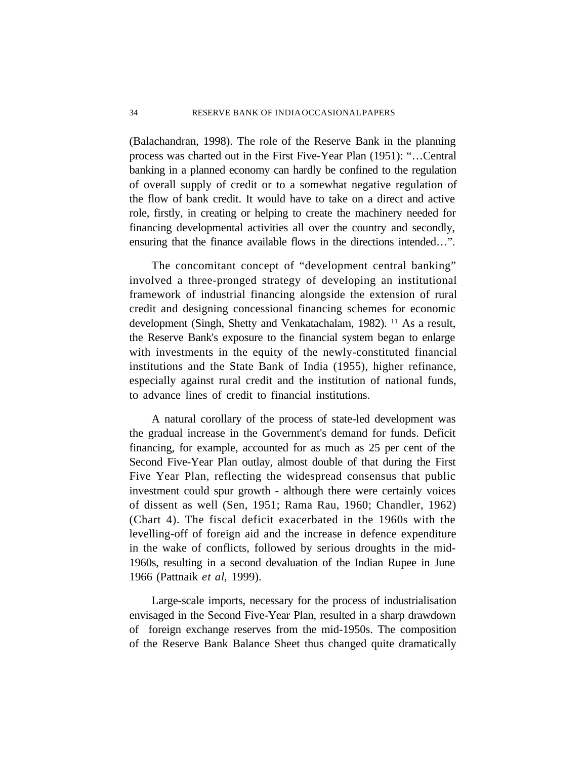(Balachandran, 1998). The role of the Reserve Bank in the planning process was charted out in the First Five-Year Plan (1951): "…Central banking in a planned economy can hardly be confined to the regulation of overall supply of credit or to a somewhat negative regulation of the flow of bank credit. It would have to take on a direct and active role, firstly, in creating or helping to create the machinery needed for financing developmental activities all over the country and secondly, ensuring that the finance available flows in the directions intended…".

The concomitant concept of "development central banking" involved a three-pronged strategy of developing an institutional framework of industrial financing alongside the extension of rural credit and designing concessional financing schemes for economic development (Singh, Shetty and Venkatachalam, 1982). <sup>11</sup> As a result, the Reserve Bank's exposure to the financial system began to enlarge with investments in the equity of the newly-constituted financial institutions and the State Bank of India (1955), higher refinance, especially against rural credit and the institution of national funds, to advance lines of credit to financial institutions.

A natural corollary of the process of state-led development was the gradual increase in the Government's demand for funds. Deficit financing, for example, accounted for as much as 25 per cent of the Second Five-Year Plan outlay, almost double of that during the First Five Year Plan, reflecting the widespread consensus that public investment could spur growth - although there were certainly voices of dissent as well (Sen, 1951; Rama Rau, 1960; Chandler, 1962) (Chart 4). The fiscal deficit exacerbated in the 1960s with the levelling-off of foreign aid and the increase in defence expenditure in the wake of conflicts, followed by serious droughts in the mid-1960s, resulting in a second devaluation of the Indian Rupee in June 1966 (Pattnaik *et al*, 1999).

Large-scale imports, necessary for the process of industrialisation envisaged in the Second Five-Year Plan, resulted in a sharp drawdown of foreign exchange reserves from the mid-1950s. The composition of the Reserve Bank Balance Sheet thus changed quite dramatically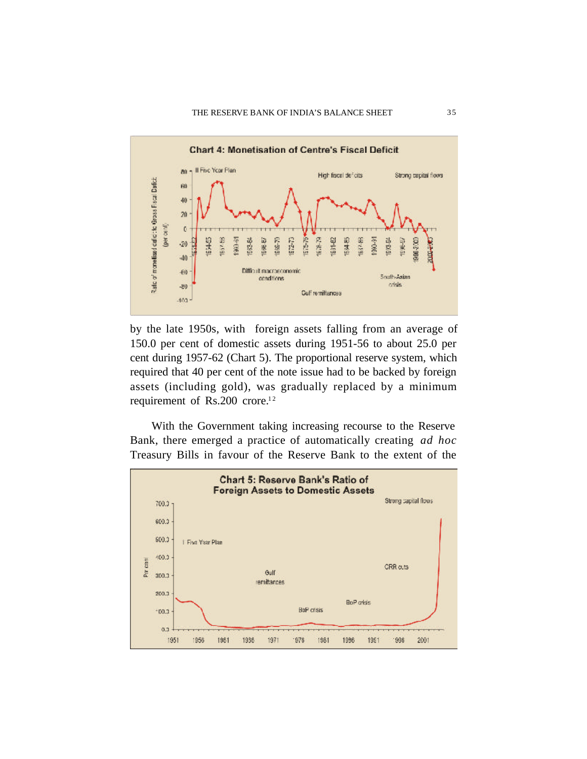

by the late 1950s, with foreign assets falling from an average of 150.0 per cent of domestic assets during 1951-56 to about 25.0 per cent during 1957-62 (Chart 5). The proportional reserve system, which required that 40 per cent of the note issue had to be backed by foreign assets (including gold), was gradually replaced by a minimum requirement of Rs.200 crore.<sup>12</sup>

With the Government taking increasing recourse to the Reserve Bank, there emerged a practice of automatically creating *ad hoc* Treasury Bills in favour of the Reserve Bank to the extent of the

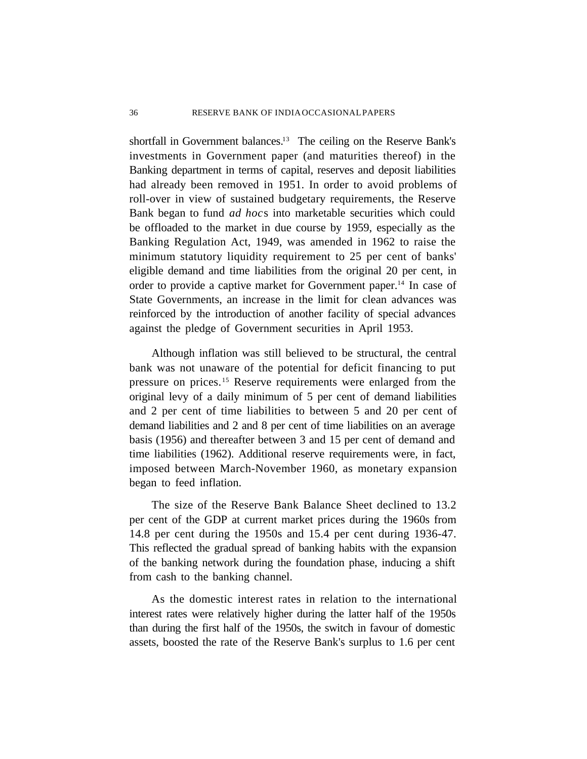shortfall in Government balances.13 The ceiling on the Reserve Bank's investments in Government paper (and maturities thereof) in the Banking department in terms of capital, reserves and deposit liabilities had already been removed in 1951. In order to avoid problems of roll-over in view of sustained budgetary requirements, the Reserve Bank began to fund *ad hoc*s into marketable securities which could be offloaded to the market in due course by 1959, especially as the Banking Regulation Act, 1949, was amended in 1962 to raise the minimum statutory liquidity requirement to 25 per cent of banks' eligible demand and time liabilities from the original 20 per cent, in order to provide a captive market for Government paper.14 In case of State Governments, an increase in the limit for clean advances was reinforced by the introduction of another facility of special advances against the pledge of Government securities in April 1953.

Although inflation was still believed to be structural, the central bank was not unaware of the potential for deficit financing to put pressure on prices. <sup>15</sup> Reserve requirements were enlarged from the original levy of a daily minimum of 5 per cent of demand liabilities and 2 per cent of time liabilities to between 5 and 20 per cent of demand liabilities and 2 and 8 per cent of time liabilities on an average basis (1956) and thereafter between 3 and 15 per cent of demand and time liabilities (1962). Additional reserve requirements were, in fact, imposed between March-November 1960, as monetary expansion began to feed inflation.

The size of the Reserve Bank Balance Sheet declined to 13.2 per cent of the GDP at current market prices during the 1960s from 14.8 per cent during the 1950s and 15.4 per cent during 1936-47. This reflected the gradual spread of banking habits with the expansion of the banking network during the foundation phase, inducing a shift from cash to the banking channel.

As the domestic interest rates in relation to the international interest rates were relatively higher during the latter half of the 1950s than during the first half of the 1950s, the switch in favour of domestic assets, boosted the rate of the Reserve Bank's surplus to 1.6 per cent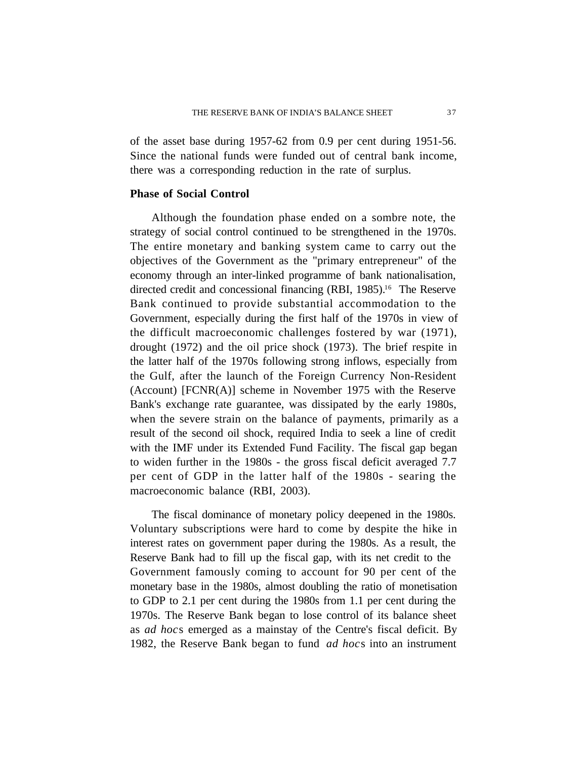of the asset base during 1957-62 from 0.9 per cent during 1951-56. Since the national funds were funded out of central bank income, there was a corresponding reduction in the rate of surplus.

#### **Phase of Social Control**

Although the foundation phase ended on a sombre note, the strategy of social control continued to be strengthened in the 1970s. The entire monetary and banking system came to carry out the objectives of the Government as the "primary entrepreneur" of the economy through an inter-linked programme of bank nationalisation, directed credit and concessional financing (RBI, 1985).<sup>16</sup> The Reserve Bank continued to provide substantial accommodation to the Government, especially during the first half of the 1970s in view of the difficult macroeconomic challenges fostered by war (1971), drought (1972) and the oil price shock (1973). The brief respite in the latter half of the 1970s following strong inflows, especially from the Gulf, after the launch of the Foreign Currency Non-Resident (Account) [FCNR(A)] scheme in November 1975 with the Reserve Bank's exchange rate guarantee, was dissipated by the early 1980s, when the severe strain on the balance of payments, primarily as a result of the second oil shock, required India to seek a line of credit with the IMF under its Extended Fund Facility. The fiscal gap began to widen further in the 1980s - the gross fiscal deficit averaged 7.7 per cent of GDP in the latter half of the 1980s - searing the macroeconomic balance (RBI, 2003).

The fiscal dominance of monetary policy deepened in the 1980s. Voluntary subscriptions were hard to come by despite the hike in interest rates on government paper during the 1980s. As a result, the Reserve Bank had to fill up the fiscal gap, with its net credit to the Government famously coming to account for 90 per cent of the monetary base in the 1980s, almost doubling the ratio of monetisation to GDP to 2.1 per cent during the 1980s from 1.1 per cent during the 1970s. The Reserve Bank began to lose control of its balance sheet as *ad hoc*s emerged as a mainstay of the Centre's fiscal deficit. By 1982, the Reserve Bank began to fund *ad hoc*s into an instrument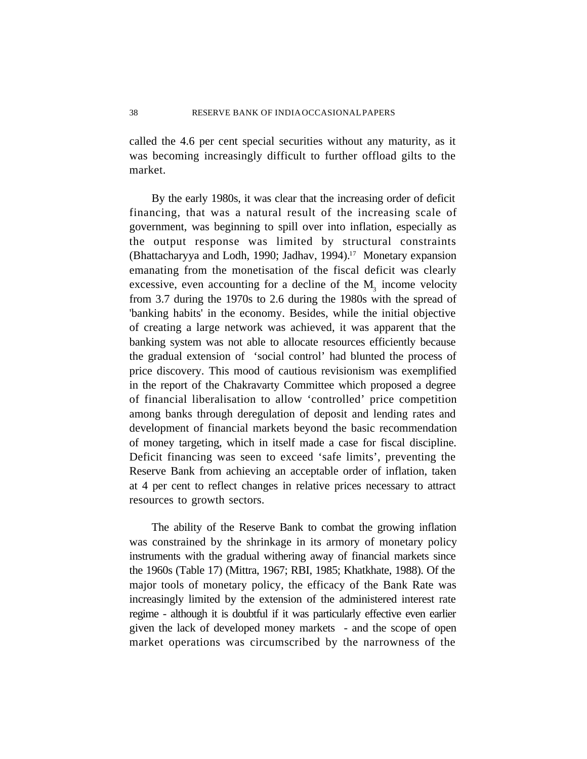called the 4.6 per cent special securities without any maturity, as it was becoming increasingly difficult to further offload gilts to the market.

By the early 1980s, it was clear that the increasing order of deficit financing, that was a natural result of the increasing scale of government, was beginning to spill over into inflation, especially as the output response was limited by structural constraints (Bhattacharyya and Lodh, 1990; Jadhav, 1994).17 Monetary expansion emanating from the monetisation of the fiscal deficit was clearly excessive, even accounting for a decline of the  $M<sub>3</sub>$  income velocity from 3.7 during the 1970s to 2.6 during the 1980s with the spread of 'banking habits' in the economy. Besides, while the initial objective of creating a large network was achieved, it was apparent that the banking system was not able to allocate resources efficiently because the gradual extension of 'social control' had blunted the process of price discovery. This mood of cautious revisionism was exemplified in the report of the Chakravarty Committee which proposed a degree of financial liberalisation to allow 'controlled' price competition among banks through deregulation of deposit and lending rates and development of financial markets beyond the basic recommendation of money targeting, which in itself made a case for fiscal discipline. Deficit financing was seen to exceed 'safe limits', preventing the Reserve Bank from achieving an acceptable order of inflation, taken at 4 per cent to reflect changes in relative prices necessary to attract resources to growth sectors.

The ability of the Reserve Bank to combat the growing inflation was constrained by the shrinkage in its armory of monetary policy instruments with the gradual withering away of financial markets since the 1960s (Table 17) (Mittra, 1967; RBI, 1985; Khatkhate, 1988). Of the major tools of monetary policy, the efficacy of the Bank Rate was increasingly limited by the extension of the administered interest rate regime - although it is doubtful if it was particularly effective even earlier given the lack of developed money markets - and the scope of open market operations was circumscribed by the narrowness of the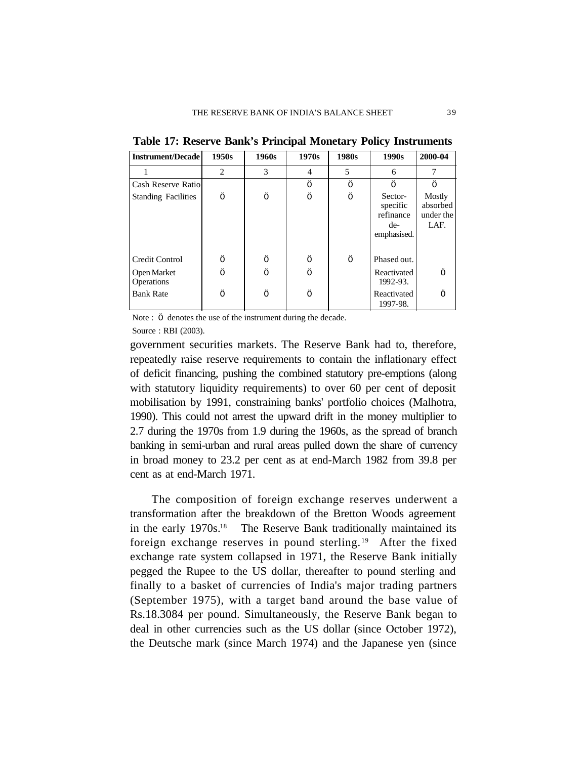| <b>Instrument/Decade</b>   | 1950s          | 1960s | 1970s | 1980s | 1990s                                                  | 2000-04                                 |
|----------------------------|----------------|-------|-------|-------|--------------------------------------------------------|-----------------------------------------|
|                            | $\overline{2}$ | 3     | 4     | 5     | 6                                                      | 7                                       |
| Cash Reserve Ratio         |                |       | Ö     | Ö     | Ö                                                      | Ö                                       |
| <b>Standing Facilities</b> | Ö              | Ö     | Ö     | Ö     | Sector-<br>specific<br>refinance<br>de-<br>emphasised. | Mostly<br>absorbed<br>under the<br>LAF. |
| Credit Control             | Ö              | Ö     | Ö     | Ö     | Phased out.                                            |                                         |
| Open Market<br>Operations  | Ö              | Ö     | Ö     |       | Reactivated<br>1992-93.                                | Ö                                       |
| <b>Bank Rate</b>           | Ö              | Ö     | Ö     |       | Reactivated<br>1997-98.                                | Ö                                       |

**Table 17: Reserve Bank's Principal Monetary Policy Instruments**

Note : Ö denotes the use of the instrument during the decade.

Source : RBI (2003).

government securities markets. The Reserve Bank had to, therefore, repeatedly raise reserve requirements to contain the inflationary effect of deficit financing, pushing the combined statutory pre-emptions (along with statutory liquidity requirements) to over 60 per cent of deposit mobilisation by 1991, constraining banks' portfolio choices (Malhotra, 1990). This could not arrest the upward drift in the money multiplier to 2.7 during the 1970s from 1.9 during the 1960s, as the spread of branch banking in semi-urban and rural areas pulled down the share of currency in broad money to 23.2 per cent as at end-March 1982 from 39.8 per cent as at end-March 1971.

The composition of foreign exchange reserves underwent a transformation after the breakdown of the Bretton Woods agreement in the early 1970s.<sup>18</sup> The Reserve Bank traditionally maintained its foreign exchange reserves in pound sterling.<sup>19</sup> After the fixed exchange rate system collapsed in 1971, the Reserve Bank initially pegged the Rupee to the US dollar, thereafter to pound sterling and finally to a basket of currencies of India's major trading partners (September 1975), with a target band around the base value of Rs.18.3084 per pound. Simultaneously, the Reserve Bank began to deal in other currencies such as the US dollar (since October 1972), the Deutsche mark (since March 1974) and the Japanese yen (since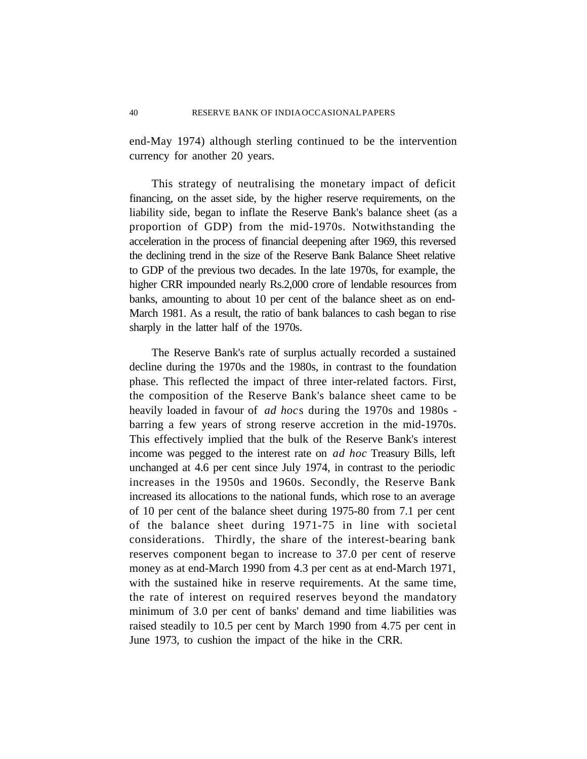end-May 1974) although sterling continued to be the intervention currency for another 20 years.

This strategy of neutralising the monetary impact of deficit financing, on the asset side, by the higher reserve requirements, on the liability side, began to inflate the Reserve Bank's balance sheet (as a proportion of GDP) from the mid-1970s. Notwithstanding the acceleration in the process of financial deepening after 1969, this reversed the declining trend in the size of the Reserve Bank Balance Sheet relative to GDP of the previous two decades. In the late 1970s, for example, the higher CRR impounded nearly Rs.2,000 crore of lendable resources from banks, amounting to about 10 per cent of the balance sheet as on end-March 1981. As a result, the ratio of bank balances to cash began to rise sharply in the latter half of the 1970s.

The Reserve Bank's rate of surplus actually recorded a sustained decline during the 1970s and the 1980s, in contrast to the foundation phase. This reflected the impact of three inter-related factors. First, the composition of the Reserve Bank's balance sheet came to be heavily loaded in favour of *ad hoc*s during the 1970s and 1980s barring a few years of strong reserve accretion in the mid-1970s. This effectively implied that the bulk of the Reserve Bank's interest income was pegged to the interest rate on *ad hoc* Treasury Bills, left unchanged at 4.6 per cent since July 1974, in contrast to the periodic increases in the 1950s and 1960s. Secondly, the Reserve Bank increased its allocations to the national funds, which rose to an average of 10 per cent of the balance sheet during 1975-80 from 7.1 per cent of the balance sheet during 1971-75 in line with societal considerations. Thirdly, the share of the interest-bearing bank reserves component began to increase to 37.0 per cent of reserve money as at end-March 1990 from 4.3 per cent as at end-March 1971, with the sustained hike in reserve requirements. At the same time, the rate of interest on required reserves beyond the mandatory minimum of 3.0 per cent of banks' demand and time liabilities was raised steadily to 10.5 per cent by March 1990 from 4.75 per cent in June 1973, to cushion the impact of the hike in the CRR.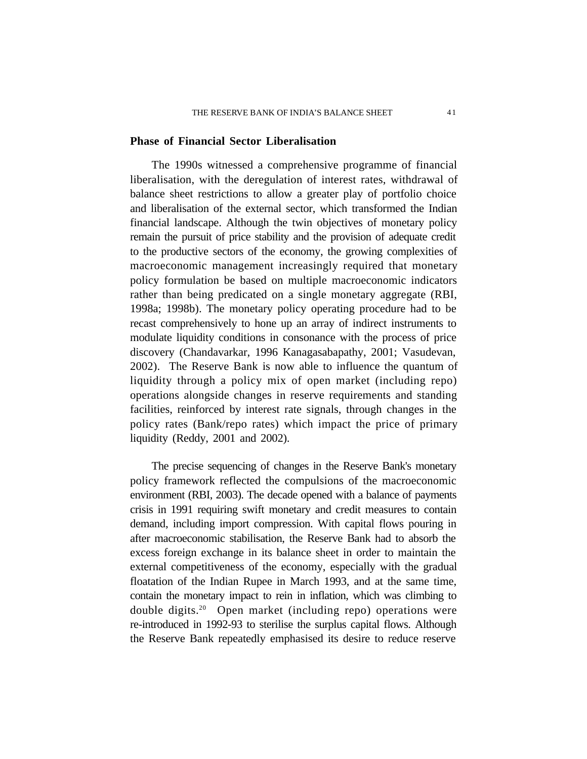#### **Phase of Financial Sector Liberalisation**

The 1990s witnessed a comprehensive programme of financial liberalisation, with the deregulation of interest rates, withdrawal of balance sheet restrictions to allow a greater play of portfolio choice and liberalisation of the external sector, which transformed the Indian financial landscape. Although the twin objectives of monetary policy remain the pursuit of price stability and the provision of adequate credit to the productive sectors of the economy, the growing complexities of macroeconomic management increasingly required that monetary policy formulation be based on multiple macroeconomic indicators rather than being predicated on a single monetary aggregate (RBI, 1998a; 1998b). The monetary policy operating procedure had to be recast comprehensively to hone up an array of indirect instruments to modulate liquidity conditions in consonance with the process of price discovery (Chandavarkar, 1996 Kanagasabapathy, 2001; Vasudevan, 2002). The Reserve Bank is now able to influence the quantum of liquidity through a policy mix of open market (including repo) operations alongside changes in reserve requirements and standing facilities, reinforced by interest rate signals, through changes in the policy rates (Bank/repo rates) which impact the price of primary liquidity (Reddy, 2001 and 2002).

The precise sequencing of changes in the Reserve Bank's monetary policy framework reflected the compulsions of the macroeconomic environment (RBI, 2003). The decade opened with a balance of payments crisis in 1991 requiring swift monetary and credit measures to contain demand, including import compression. With capital flows pouring in after macroeconomic stabilisation, the Reserve Bank had to absorb the excess foreign exchange in its balance sheet in order to maintain the external competitiveness of the economy, especially with the gradual floatation of the Indian Rupee in March 1993, and at the same time, contain the monetary impact to rein in inflation, which was climbing to double digits.20 Open market (including repo) operations were re-introduced in 1992-93 to sterilise the surplus capital flows. Although the Reserve Bank repeatedly emphasised its desire to reduce reserve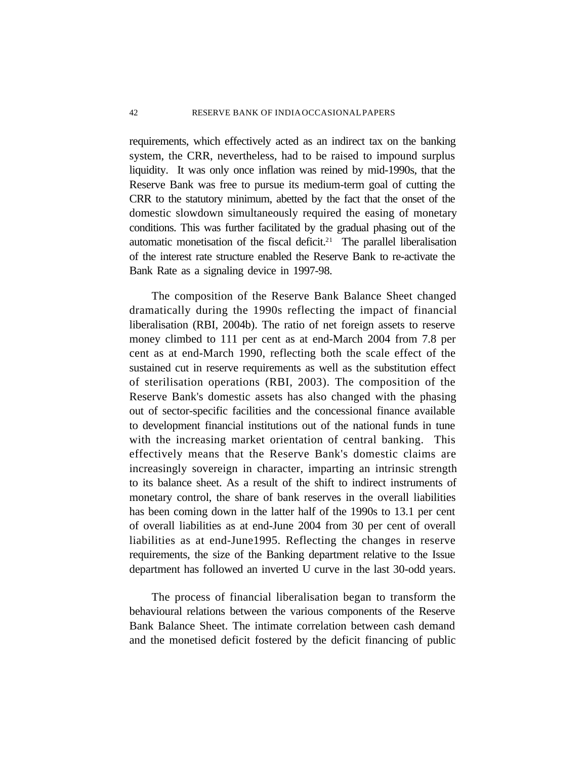requirements, which effectively acted as an indirect tax on the banking system, the CRR, nevertheless, had to be raised to impound surplus liquidity. It was only once inflation was reined by mid-1990s, that the Reserve Bank was free to pursue its medium-term goal of cutting the CRR to the statutory minimum, abetted by the fact that the onset of the domestic slowdown simultaneously required the easing of monetary conditions. This was further facilitated by the gradual phasing out of the automatic monetisation of the fiscal deficit.<sup>21</sup> The parallel liberalisation of the interest rate structure enabled the Reserve Bank to re-activate the Bank Rate as a signaling device in 1997-98.

The composition of the Reserve Bank Balance Sheet changed dramatically during the 1990s reflecting the impact of financial liberalisation (RBI, 2004b). The ratio of net foreign assets to reserve money climbed to 111 per cent as at end-March 2004 from 7.8 per cent as at end-March 1990, reflecting both the scale effect of the sustained cut in reserve requirements as well as the substitution effect of sterilisation operations (RBI, 2003). The composition of the Reserve Bank's domestic assets has also changed with the phasing out of sector-specific facilities and the concessional finance available to development financial institutions out of the national funds in tune with the increasing market orientation of central banking. This effectively means that the Reserve Bank's domestic claims are increasingly sovereign in character, imparting an intrinsic strength to its balance sheet. As a result of the shift to indirect instruments of monetary control, the share of bank reserves in the overall liabilities has been coming down in the latter half of the 1990s to 13.1 per cent of overall liabilities as at end-June 2004 from 30 per cent of overall liabilities as at end-June1995. Reflecting the changes in reserve requirements, the size of the Banking department relative to the Issue department has followed an inverted U curve in the last 30-odd years.

The process of financial liberalisation began to transform the behavioural relations between the various components of the Reserve Bank Balance Sheet. The intimate correlation between cash demand and the monetised deficit fostered by the deficit financing of public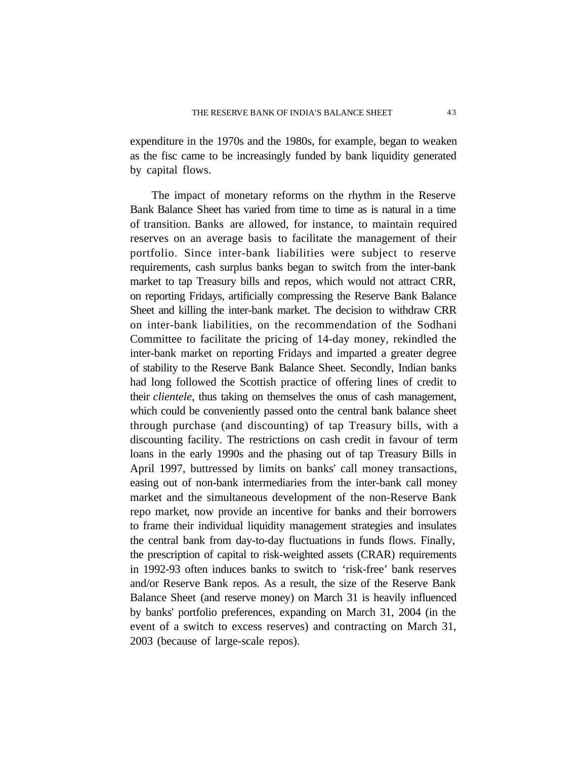expenditure in the 1970s and the 1980s, for example, began to weaken as the fisc came to be increasingly funded by bank liquidity generated by capital flows.

The impact of monetary reforms on the rhythm in the Reserve Bank Balance Sheet has varied from time to time as is natural in a time of transition. Banks are allowed, for instance, to maintain required reserves on an average basis to facilitate the management of their portfolio. Since inter-bank liabilities were subject to reserve requirements, cash surplus banks began to switch from the inter-bank market to tap Treasury bills and repos, which would not attract CRR, on reporting Fridays, artificially compressing the Reserve Bank Balance Sheet and killing the inter-bank market. The decision to withdraw CRR on inter-bank liabilities, on the recommendation of the Sodhani Committee to facilitate the pricing of 14-day money, rekindled the inter-bank market on reporting Fridays and imparted a greater degree of stability to the Reserve Bank Balance Sheet. Secondly, Indian banks had long followed the Scottish practice of offering lines of credit to their *clientele*, thus taking on themselves the onus of cash management, which could be conveniently passed onto the central bank balance sheet through purchase (and discounting) of tap Treasury bills, with a discounting facility. The restrictions on cash credit in favour of term loans in the early 1990s and the phasing out of tap Treasury Bills in April 1997, buttressed by limits on banks' call money transactions, easing out of non-bank intermediaries from the inter-bank call money market and the simultaneous development of the non-Reserve Bank repo market, now provide an incentive for banks and their borrowers to frame their individual liquidity management strategies and insulates the central bank from day-to-day fluctuations in funds flows. Finally, the prescription of capital to risk-weighted assets (CRAR) requirements in 1992-93 often induces banks to switch to 'risk-free' bank reserves and/or Reserve Bank repos. As a result, the size of the Reserve Bank Balance Sheet (and reserve money) on March 31 is heavily influenced by banks' portfolio preferences, expanding on March 31, 2004 (in the event of a switch to excess reserves) and contracting on March 31, 2003 (because of large-scale repos).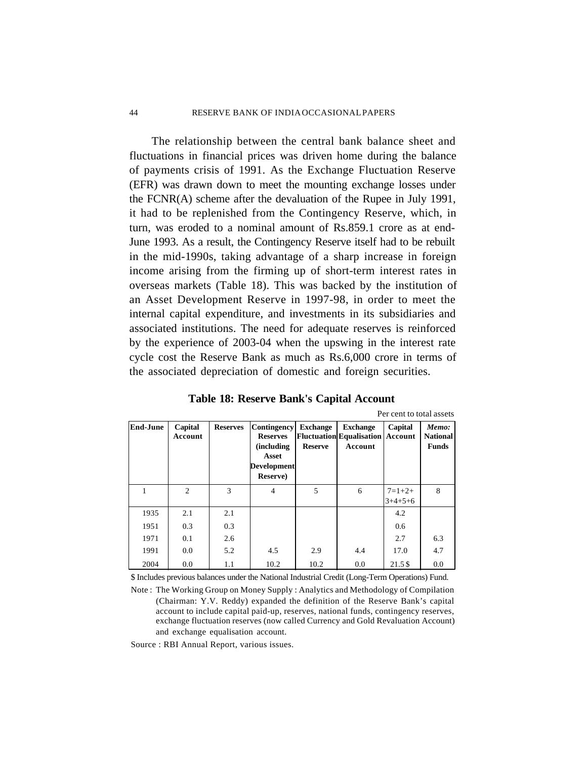The relationship between the central bank balance sheet and fluctuations in financial prices was driven home during the balance of payments crisis of 1991. As the Exchange Fluctuation Reserve (EFR) was drawn down to meet the mounting exchange losses under the FCNR(A) scheme after the devaluation of the Rupee in July 1991, it had to be replenished from the Contingency Reserve, which, in turn, was eroded to a nominal amount of Rs.859.1 crore as at end-June 1993. As a result, the Contingency Reserve itself had to be rebuilt in the mid-1990s, taking advantage of a sharp increase in foreign income arising from the firming up of short-term interest rates in overseas markets (Table 18). This was backed by the institution of an Asset Development Reserve in 1997-98, in order to meet the internal capital expenditure, and investments in its subsidiaries and associated institutions. The need for adequate reserves is reinforced by the experience of 2003-04 when the upswing in the interest rate cycle cost the Reserve Bank as much as Rs.6,000 crore in terms of the associated depreciation of domestic and foreign securities.

|                 |                    |                 |                                                                                                         |                                   |                                                               | Per cent to total assets   |                                          |
|-----------------|--------------------|-----------------|---------------------------------------------------------------------------------------------------------|-----------------------------------|---------------------------------------------------------------|----------------------------|------------------------------------------|
| <b>End-June</b> | Capital<br>Account | <b>Reserves</b> | Contingency<br><b>Reserves</b><br><i>(including)</i><br>Asset<br><b>Development</b><br><b>Reserve</b> ) | <b>Exchange</b><br><b>Reserve</b> | <b>Exchange</b><br><b>Fluctuation</b> Equalisation<br>Account | Capital<br>Account         | Memo:<br><b>National</b><br><b>Funds</b> |
| 1               | 2                  | 3               | 4                                                                                                       | 5                                 | 6                                                             | $7 = 1 + 2 +$<br>$3+4+5+6$ | 8                                        |
| 1935            | 2.1                | 2.1             |                                                                                                         |                                   |                                                               | 4.2                        |                                          |
| 1951            | 0.3                | 0.3             |                                                                                                         |                                   |                                                               | 0.6                        |                                          |
| 1971            | 0.1                | 2.6             |                                                                                                         |                                   |                                                               | 2.7                        | 6.3                                      |
| 1991            | 0.0                | 5.2             | 4.5                                                                                                     | 2.9                               | 4.4                                                           | 17.0                       | 4.7                                      |
| 2004            | 0.0                | 1.1             | 10.2                                                                                                    | 10.2                              | 0.0                                                           | 21.5\$                     | 0.0                                      |

**Table 18: Reserve Bank's Capital Account**

\$ Includes previous balances under the National Industrial Credit (Long-Term Operations) Fund.

Note : The Working Group on Money Supply : Analytics and Methodology of Compilation (Chairman: Y.V. Reddy) expanded the definition of the Reserve Bank's capital account to include capital paid-up, reserves, national funds, contingency reserves, exchange fluctuation reserves (now called Currency and Gold Revaluation Account) and exchange equalisation account.

Source : RBI Annual Report, various issues.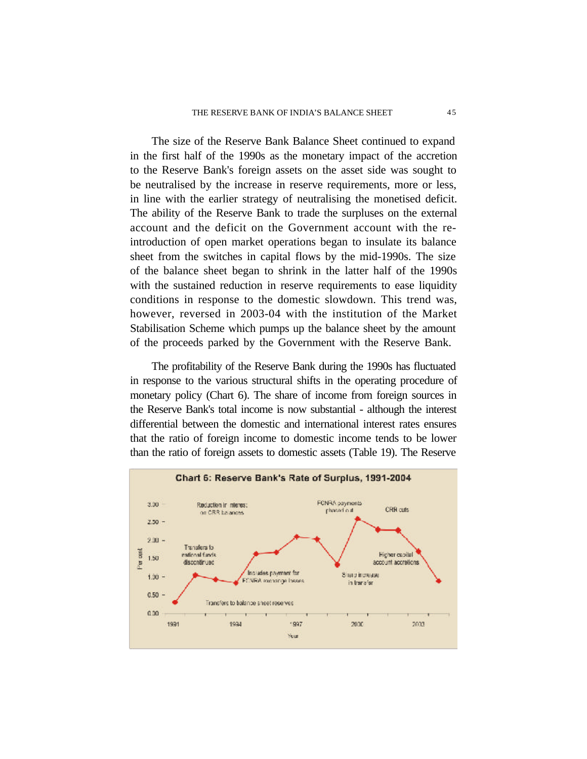The size of the Reserve Bank Balance Sheet continued to expand in the first half of the 1990s as the monetary impact of the accretion to the Reserve Bank's foreign assets on the asset side was sought to be neutralised by the increase in reserve requirements, more or less, in line with the earlier strategy of neutralising the monetised deficit. The ability of the Reserve Bank to trade the surpluses on the external account and the deficit on the Government account with the reintroduction of open market operations began to insulate its balance sheet from the switches in capital flows by the mid-1990s. The size of the balance sheet began to shrink in the latter half of the 1990s with the sustained reduction in reserve requirements to ease liquidity conditions in response to the domestic slowdown. This trend was, however, reversed in 2003-04 with the institution of the Market Stabilisation Scheme which pumps up the balance sheet by the amount of the proceeds parked by the Government with the Reserve Bank.

The profitability of the Reserve Bank during the 1990s has fluctuated in response to the various structural shifts in the operating procedure of monetary policy (Chart 6). The share of income from foreign sources in the Reserve Bank's total income is now substantial - although the interest differential between the domestic and international interest rates ensures that the ratio of foreign income to domestic income tends to be lower than the ratio of foreign assets to domestic assets (Table 19). The Reserve

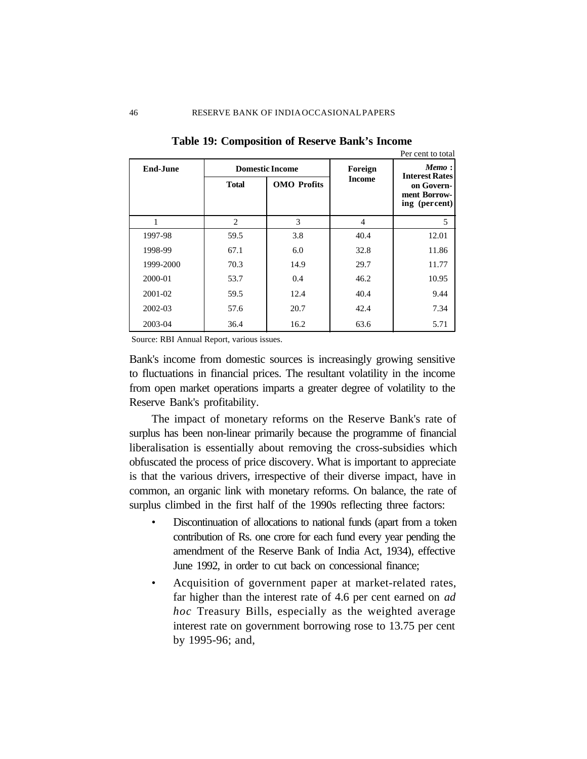|                 |                        |                    |                | Per cent to total                           |
|-----------------|------------------------|--------------------|----------------|---------------------------------------------|
| <b>End-June</b> | <b>Domestic Income</b> |                    | Foreign        | Memo:<br><b>Interest Rates</b>              |
|                 | <b>Total</b>           | <b>OMO</b> Profits | <b>Income</b>  | on Govern-<br>ment Borrow-<br>ing (percent) |
|                 | 2                      | 3                  | $\overline{4}$ | 5                                           |
| 1997-98         | 59.5                   | 3.8                | 40.4           | 12.01                                       |
| 1998-99         | 67.1                   | 6.0                | 32.8           | 11.86                                       |
| 1999-2000       | 70.3                   | 14.9               | 29.7           | 11.77                                       |
| 2000-01         | 53.7                   | 0.4                | 46.2           | 10.95                                       |
| 2001-02         | 59.5                   | 12.4               | 40.4           | 9.44                                        |
| 2002-03         | 57.6                   | 20.7               | 42.4           | 7.34                                        |
| 2003-04         | 36.4                   | 16.2               | 63.6           | 5.71                                        |

**Table 19: Composition of Reserve Bank's Income**

Source: RBI Annual Report, various issues.

Bank's income from domestic sources is increasingly growing sensitive to fluctuations in financial prices. The resultant volatility in the income from open market operations imparts a greater degree of volatility to the Reserve Bank's profitability.

The impact of monetary reforms on the Reserve Bank's rate of surplus has been non-linear primarily because the programme of financial liberalisation is essentially about removing the cross-subsidies which obfuscated the process of price discovery. What is important to appreciate is that the various drivers, irrespective of their diverse impact, have in common, an organic link with monetary reforms. On balance, the rate of surplus climbed in the first half of the 1990s reflecting three factors:

- Discontinuation of allocations to national funds (apart from a token contribution of Rs. one crore for each fund every year pending the amendment of the Reserve Bank of India Act, 1934), effective June 1992, in order to cut back on concessional finance;
- Acquisition of government paper at market-related rates, far higher than the interest rate of 4.6 per cent earned on *ad hoc* Treasury Bills, especially as the weighted average interest rate on government borrowing rose to 13.75 per cent by 1995-96; and,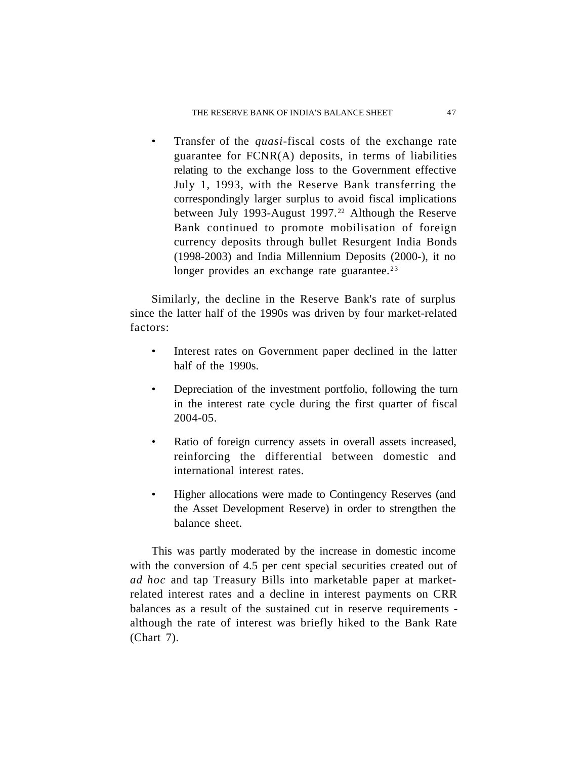• Transfer of the *quasi*-fiscal costs of the exchange rate guarantee for FCNR(A) deposits, in terms of liabilities relating to the exchange loss to the Government effective July 1, 1993, with the Reserve Bank transferring the correspondingly larger surplus to avoid fiscal implications between July 1993-August 1997.<sup>22</sup> Although the Reserve Bank continued to promote mobilisation of foreign currency deposits through bullet Resurgent India Bonds (1998-2003) and India Millennium Deposits (2000-), it no longer provides an exchange rate guarantee.<sup>23</sup>

Similarly, the decline in the Reserve Bank's rate of surplus since the latter half of the 1990s was driven by four market-related factors:

- Interest rates on Government paper declined in the latter half of the 1990s.
- Depreciation of the investment portfolio, following the turn in the interest rate cycle during the first quarter of fiscal 2004-05.
- Ratio of foreign currency assets in overall assets increased, reinforcing the differential between domestic and international interest rates.
- Higher allocations were made to Contingency Reserves (and the Asset Development Reserve) in order to strengthen the balance sheet.

This was partly moderated by the increase in domestic income with the conversion of 4.5 per cent special securities created out of *ad hoc* and tap Treasury Bills into marketable paper at marketrelated interest rates and a decline in interest payments on CRR balances as a result of the sustained cut in reserve requirements although the rate of interest was briefly hiked to the Bank Rate (Chart 7).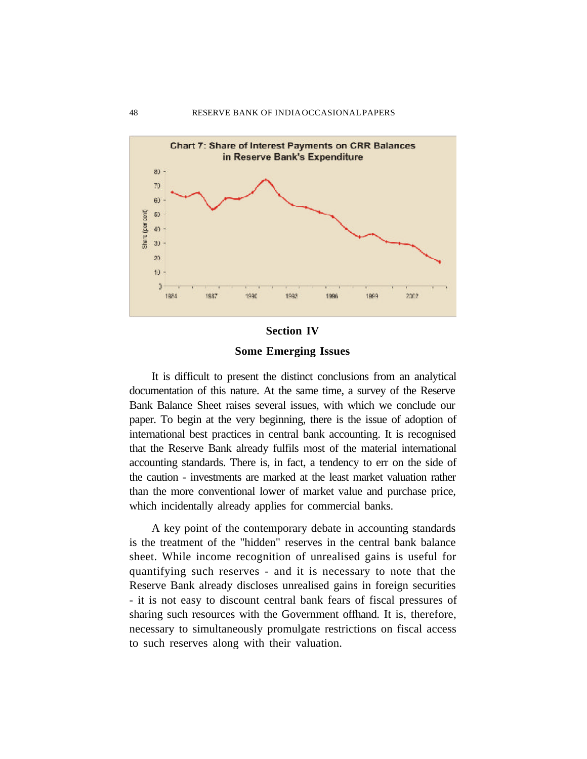

# **Section IV Some Emerging Issues**

It is difficult to present the distinct conclusions from an analytical documentation of this nature. At the same time, a survey of the Reserve Bank Balance Sheet raises several issues, with which we conclude our paper. To begin at the very beginning, there is the issue of adoption of international best practices in central bank accounting. It is recognised that the Reserve Bank already fulfils most of the material international accounting standards. There is, in fact, a tendency to err on the side of the caution - investments are marked at the least market valuation rather than the more conventional lower of market value and purchase price, which incidentally already applies for commercial banks.

A key point of the contemporary debate in accounting standards is the treatment of the "hidden" reserves in the central bank balance sheet. While income recognition of unrealised gains is useful for quantifying such reserves - and it is necessary to note that the Reserve Bank already discloses unrealised gains in foreign securities - it is not easy to discount central bank fears of fiscal pressures of sharing such resources with the Government offhand. It is, therefore, necessary to simultaneously promulgate restrictions on fiscal access to such reserves along with their valuation.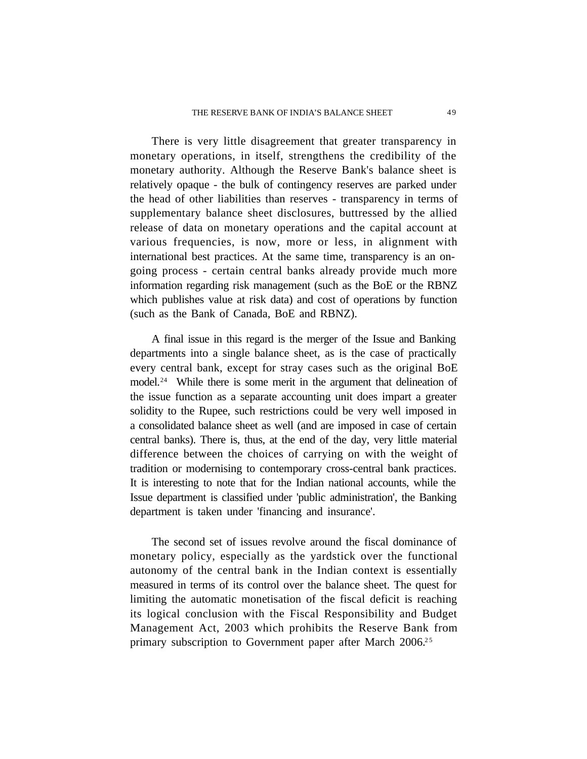There is very little disagreement that greater transparency in monetary operations, in itself, strengthens the credibility of the monetary authority. Although the Reserve Bank's balance sheet is relatively opaque - the bulk of contingency reserves are parked under the head of other liabilities than reserves - transparency in terms of supplementary balance sheet disclosures, buttressed by the allied release of data on monetary operations and the capital account at various frequencies, is now, more or less, in alignment with international best practices. At the same time, transparency is an ongoing process - certain central banks already provide much more information regarding risk management (such as the BoE or the RBNZ which publishes value at risk data) and cost of operations by function (such as the Bank of Canada, BoE and RBNZ).

A final issue in this regard is the merger of the Issue and Banking departments into a single balance sheet, as is the case of practically every central bank, except for stray cases such as the original BoE model.<sup>24</sup> While there is some merit in the argument that delineation of the issue function as a separate accounting unit does impart a greater solidity to the Rupee, such restrictions could be very well imposed in a consolidated balance sheet as well (and are imposed in case of certain central banks). There is, thus, at the end of the day, very little material difference between the choices of carrying on with the weight of tradition or modernising to contemporary cross-central bank practices. It is interesting to note that for the Indian national accounts, while the Issue department is classified under 'public administration', the Banking department is taken under 'financing and insurance'.

The second set of issues revolve around the fiscal dominance of monetary policy, especially as the yardstick over the functional autonomy of the central bank in the Indian context is essentially measured in terms of its control over the balance sheet. The quest for limiting the automatic monetisation of the fiscal deficit is reaching its logical conclusion with the Fiscal Responsibility and Budget Management Act, 2003 which prohibits the Reserve Bank from primary subscription to Government paper after March 2006.<sup>25</sup>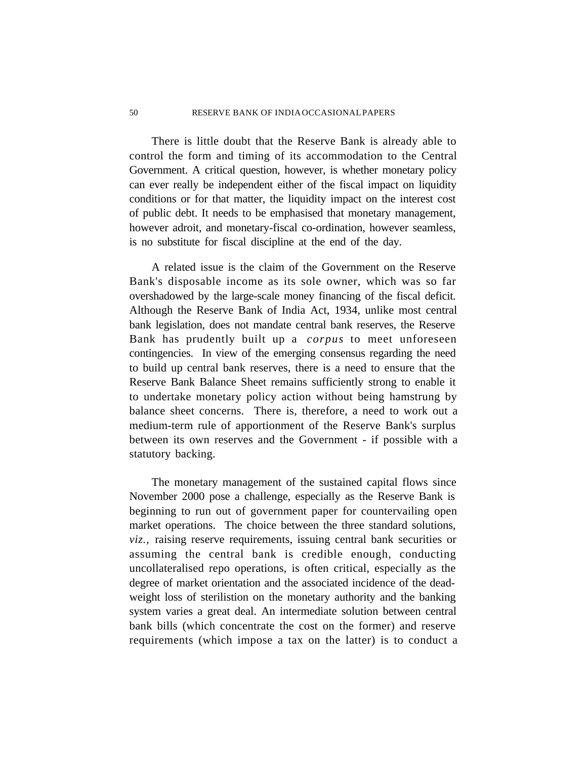#### 50 RESERVE BANK OF INDIA OCCASIONAL PAPERS

There is little doubt that the Reserve Bank is already able to control the form and timing of its accommodation to the Central Government. A critical question, however, is whether monetary policy can ever really be independent either of the fiscal impact on liquidity conditions or for that matter, the liquidity impact on the interest cost of public debt. It needs to be emphasised that monetary management, however adroit, and monetary-fiscal co-ordination, however seamless, is no substitute for fiscal discipline at the end of the day.

A related issue is the claim of the Government on the Reserve Bank's disposable income as its sole owner, which was so far overshadowed by the large-scale money financing of the fiscal deficit. Although the Reserve Bank of India Act, 1934, unlike most central bank legislation, does not mandate central bank reserves, the Reserve Bank has prudently built up a *corpus* to meet unforeseen contingencies. In view of the emerging consensus regarding the need to build up central bank reserves, there is a need to ensure that the Reserve Bank Balance Sheet remains sufficiently strong to enable it to undertake monetary policy action without being hamstrung by balance sheet concerns. There is, therefore, a need to work out a medium-term rule of apportionment of the Reserve Bank's surplus between its own reserves and the Government - if possible with a statutory backing.

The monetary management of the sustained capital flows since November 2000 pose a challenge, especially as the Reserve Bank is beginning to run out of government paper for countervailing open market operations. The choice between the three standard solutions, *viz.,* raising reserve requirements, issuing central bank securities or assuming the central bank is credible enough, conducting uncollateralised repo operations, is often critical, especially as the degree of market orientation and the associated incidence of the deadweight loss of sterilistion on the monetary authority and the banking system varies a great deal. An intermediate solution between central bank bills (which concentrate the cost on the former) and reserve requirements (which impose a tax on the latter) is to conduct a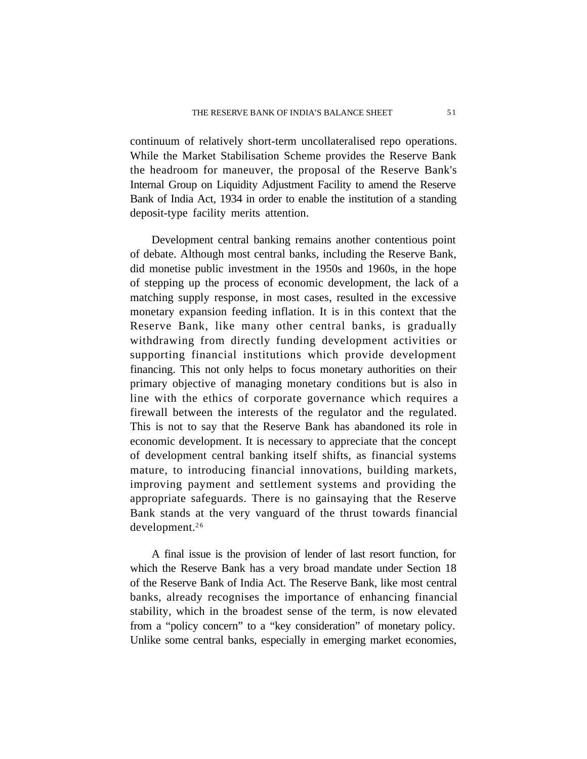continuum of relatively short-term uncollateralised repo operations. While the Market Stabilisation Scheme provides the Reserve Bank the headroom for maneuver, the proposal of the Reserve Bank's Internal Group on Liquidity Adjustment Facility to amend the Reserve Bank of India Act, 1934 in order to enable the institution of a standing deposit-type facility merits attention.

Development central banking remains another contentious point of debate. Although most central banks, including the Reserve Bank, did monetise public investment in the 1950s and 1960s, in the hope of stepping up the process of economic development, the lack of a matching supply response, in most cases, resulted in the excessive monetary expansion feeding inflation. It is in this context that the Reserve Bank, like many other central banks, is gradually withdrawing from directly funding development activities or supporting financial institutions which provide development financing. This not only helps to focus monetary authorities on their primary objective of managing monetary conditions but is also in line with the ethics of corporate governance which requires a firewall between the interests of the regulator and the regulated. This is not to say that the Reserve Bank has abandoned its role in economic development. It is necessary to appreciate that the concept of development central banking itself shifts, as financial systems mature, to introducing financial innovations, building markets, improving payment and settlement systems and providing the appropriate safeguards. There is no gainsaying that the Reserve Bank stands at the very vanguard of the thrust towards financial development.<sup>26</sup>

A final issue is the provision of lender of last resort function, for which the Reserve Bank has a very broad mandate under Section 18 of the Reserve Bank of India Act. The Reserve Bank, like most central banks, already recognises the importance of enhancing financial stability, which in the broadest sense of the term, is now elevated from a "policy concern" to a "key consideration" of monetary policy. Unlike some central banks, especially in emerging market economies,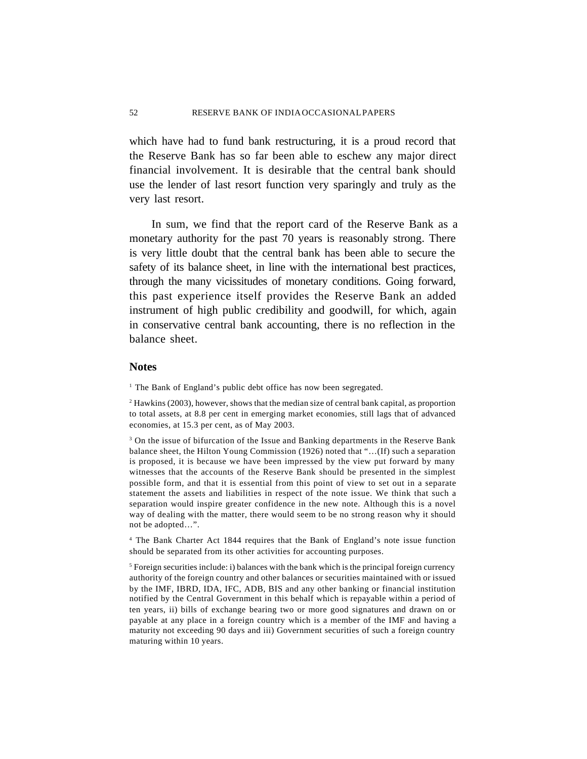which have had to fund bank restructuring, it is a proud record that the Reserve Bank has so far been able to eschew any major direct financial involvement. It is desirable that the central bank should use the lender of last resort function very sparingly and truly as the very last resort.

In sum, we find that the report card of the Reserve Bank as a monetary authority for the past 70 years is reasonably strong. There is very little doubt that the central bank has been able to secure the safety of its balance sheet, in line with the international best practices, through the many vicissitudes of monetary conditions. Going forward, this past experience itself provides the Reserve Bank an added instrument of high public credibility and goodwill, for which, again in conservative central bank accounting, there is no reflection in the balance sheet.

#### **Notes**

<sup>1</sup> The Bank of England's public debt office has now been segregated.

<sup>2</sup> Hawkins (2003), however, shows that the median size of central bank capital, as proportion to total assets, at 8.8 per cent in emerging market economies, still lags that of advanced economies, at 15.3 per cent, as of May 2003.

<sup>3</sup> On the issue of bifurcation of the Issue and Banking departments in the Reserve Bank balance sheet, the Hilton Young Commission (1926) noted that "…(If) such a separation is proposed, it is because we have been impressed by the view put forward by many witnesses that the accounts of the Reserve Bank should be presented in the simplest possible form, and that it is essential from this point of view to set out in a separate statement the assets and liabilities in respect of the note issue. We think that such a separation would inspire greater confidence in the new note. Although this is a novel way of dealing with the matter, there would seem to be no strong reason why it should not be adopted…".

4 The Bank Charter Act 1844 requires that the Bank of England's note issue function should be separated from its other activities for accounting purposes.

<sup>5</sup> Foreign securities include: i) balances with the bank which is the principal foreign currency authority of the foreign country and other balances or securities maintained with or issued by the IMF, IBRD, IDA, IFC, ADB, BIS and any other banking or financial institution notified by the Central Government in this behalf which is repayable within a period of ten years, ii) bills of exchange bearing two or more good signatures and drawn on or payable at any place in a foreign country which is a member of the IMF and having a maturity not exceeding 90 days and iii) Government securities of such a foreign country maturing within 10 years.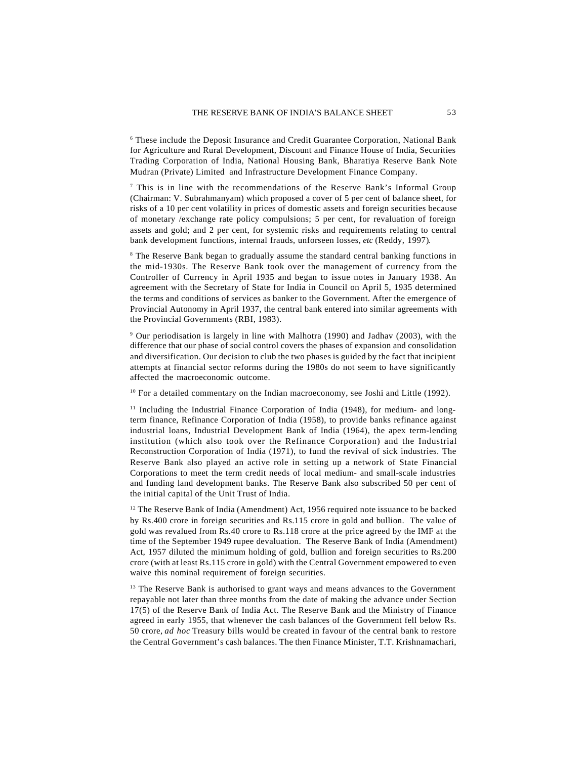6 These include the Deposit Insurance and Credit Guarantee Corporation, National Bank for Agriculture and Rural Development, Discount and Finance House of India, Securities Trading Corporation of India, National Housing Bank, Bharatiya Reserve Bank Note Mudran (Private) Limited and Infrastructure Development Finance Company.

7 This is in line with the recommendations of the Reserve Bank's Informal Group (Chairman: V. Subrahmanyam) which proposed a cover of 5 per cent of balance sheet, for risks of a 10 per cent volatility in prices of domestic assets and foreign securities because of monetary /exchange rate policy compulsions; 5 per cent, for revaluation of foreign assets and gold; and 2 per cent, for systemic risks and requirements relating to central bank development functions, internal frauds, unforseen losses, *etc* (Reddy, 1997)*.*

<sup>8</sup> The Reserve Bank began to gradually assume the standard central banking functions in the mid-1930s. The Reserve Bank took over the management of currency from the Controller of Currency in April 1935 and began to issue notes in January 1938. An agreement with the Secretary of State for India in Council on April 5, 1935 determined the terms and conditions of services as banker to the Government. After the emergence of Provincial Autonomy in April 1937, the central bank entered into similar agreements with the Provincial Governments (RBI, 1983).

9 Our periodisation is largely in line with Malhotra (1990) and Jadhav (2003), with the difference that our phase of social control covers the phases of expansion and consolidation and diversification. Our decision to club the two phases is guided by the fact that incipient attempts at financial sector reforms during the 1980s do not seem to have significantly affected the macroeconomic outcome.

<sup>10</sup> For a detailed commentary on the Indian macroeconomy, see Joshi and Little (1992).

 $11$  Including the Industrial Finance Corporation of India (1948), for medium- and longterm finance, Refinance Corporation of India (1958), to provide banks refinance against industrial loans, Industrial Development Bank of India (1964), the apex term-lending institution (which also took over the Refinance Corporation) and the Industrial Reconstruction Corporation of India (1971), to fund the revival of sick industries. The Reserve Bank also played an active role in setting up a network of State Financial Corporations to meet the term credit needs of local medium- and small-scale industries and funding land development banks. The Reserve Bank also subscribed 50 per cent of the initial capital of the Unit Trust of India.

<sup>12</sup> The Reserve Bank of India (Amendment) Act, 1956 required note issuance to be backed by Rs.400 crore in foreign securities and Rs.115 crore in gold and bullion. The value of gold was revalued from Rs.40 crore to Rs.118 crore at the price agreed by the IMF at the time of the September 1949 rupee devaluation. The Reserve Bank of India (Amendment) Act, 1957 diluted the minimum holding of gold, bullion and foreign securities to Rs.200 crore (with at least Rs.115 crore in gold) with the Central Government empowered to even waive this nominal requirement of foreign securities.

<sup>13</sup> The Reserve Bank is authorised to grant ways and means advances to the Government repayable not later than three months from the date of making the advance under Section 17(5) of the Reserve Bank of India Act. The Reserve Bank and the Ministry of Finance agreed in early 1955, that whenever the cash balances of the Government fell below Rs. 50 crore, *ad hoc* Treasury bills would be created in favour of the central bank to restore the Central Government's cash balances. The then Finance Minister, T.T. Krishnamachari,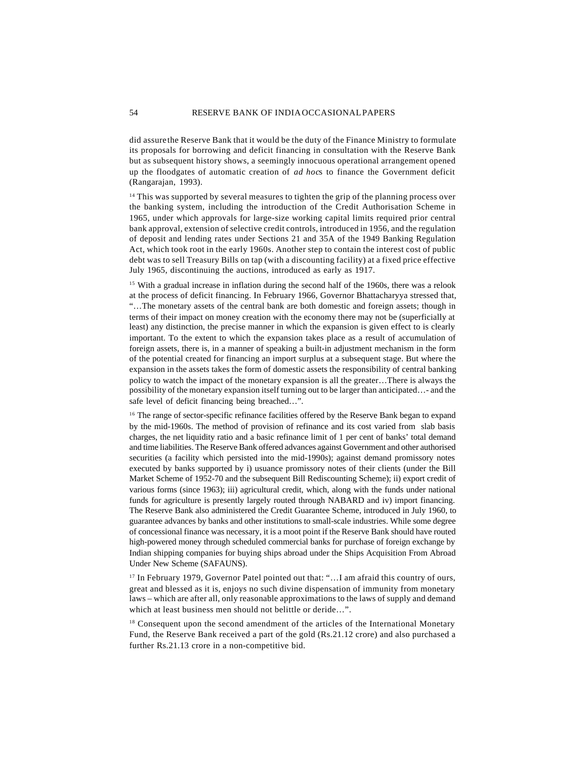#### 54 RESERVE BANK OF INDIA OCCASIONAL PAPERS

did assure the Reserve Bank that it would be the duty of the Finance Ministry to formulate its proposals for borrowing and deficit financing in consultation with the Reserve Bank but as subsequent history shows, a seemingly innocuous operational arrangement opened up the floodgates of automatic creation of *ad hoc*s to finance the Government deficit (Rangarajan, 1993).

 $14$  This was supported by several measures to tighten the grip of the planning process over the banking system, including the introduction of the Credit Authorisation Scheme in 1965, under which approvals for large-size working capital limits required prior central bank approval, extension of selective credit controls, introduced in 1956, and the regulation of deposit and lending rates under Sections 21 and 35A of the 1949 Banking Regulation Act, which took root in the early 1960s. Another step to contain the interest cost of public debt was to sell Treasury Bills on tap (with a discounting facility) at a fixed price effective July 1965, discontinuing the auctions, introduced as early as 1917.

<sup>15</sup> With a gradual increase in inflation during the second half of the 1960s, there was a relook at the process of deficit financing. In February 1966, Governor Bhattacharyya stressed that, "…The monetary assets of the central bank are both domestic and foreign assets; though in terms of their impact on money creation with the economy there may not be (superficially at least) any distinction, the precise manner in which the expansion is given effect to is clearly important. To the extent to which the expansion takes place as a result of accumulation of foreign assets, there is, in a manner of speaking a built-in adjustment mechanism in the form of the potential created for financing an import surplus at a subsequent stage. But where the expansion in the assets takes the form of domestic assets the responsibility of central banking policy to watch the impact of the monetary expansion is all the greater…There is always the possibility of the monetary expansion itself turning out to be larger than anticipated…- and the safe level of deficit financing being breached…".

<sup>16</sup> The range of sector-specific refinance facilities offered by the Reserve Bank began to expand by the mid-1960s. The method of provision of refinance and its cost varied from slab basis charges, the net liquidity ratio and a basic refinance limit of 1 per cent of banks' total demand and time liabilities. The Reserve Bank offered advances against Government and other authorised securities (a facility which persisted into the mid-1990s); against demand promissory notes executed by banks supported by i) usuance promissory notes of their clients (under the Bill Market Scheme of 1952-70 and the subsequent Bill Rediscounting Scheme); ii) export credit of various forms (since 1963); iii) agricultural credit, which, along with the funds under national funds for agriculture is presently largely routed through NABARD and iv) import financing. The Reserve Bank also administered the Credit Guarantee Scheme, introduced in July 1960, to guarantee advances by banks and other institutions to small-scale industries. While some degree of concessional finance was necessary, it is a moot point if the Reserve Bank should have routed high-powered money through scheduled commercial banks for purchase of foreign exchange by Indian shipping companies for buying ships abroad under the Ships Acquisition From Abroad Under New Scheme (SAFAUNS).

17 In February 1979, Governor Patel pointed out that: "... I am afraid this country of ours, great and blessed as it is, enjoys no such divine dispensation of immunity from monetary laws – which are after all, only reasonable approximations to the laws of supply and demand which at least business men should not belittle or deride…".

<sup>18</sup> Consequent upon the second amendment of the articles of the International Monetary Fund, the Reserve Bank received a part of the gold (Rs.21.12 crore) and also purchased a further Rs.21.13 crore in a non-competitive bid.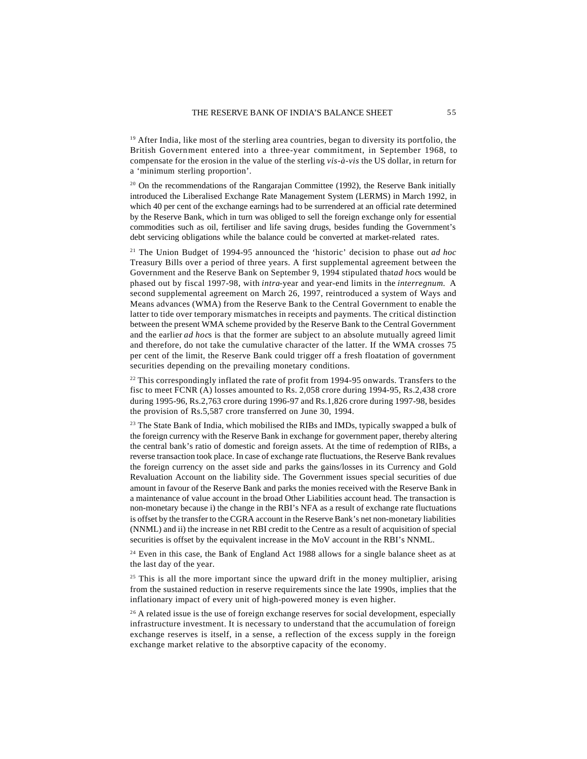$19$  After India, like most of the sterling area countries, began to diversity its portfolio, the British Government entered into a three-year commitment, in September 1968, to compensate for the erosion in the value of the sterling *vis-à-vis* the US dollar, in return for a 'minimum sterling proportion'.

<sup>20</sup> On the recommendations of the Rangarajan Committee (1992), the Reserve Bank initially introduced the Liberalised Exchange Rate Management System (LERMS) in March 1992, in which 40 per cent of the exchange earnings had to be surrendered at an official rate determined by the Reserve Bank, which in turn was obliged to sell the foreign exchange only for essential commodities such as oil, fertiliser and life saving drugs, besides funding the Government's debt servicing obligations while the balance could be converted at market-related rates.

<sup>21</sup> The Union Budget of 1994-95 announced the 'historic' decision to phase out *ad hoc* Treasury Bills over a period of three years. A first supplemental agreement between the Government and the Reserve Bank on September 9, 1994 stipulated that *ad hocs* would be phased out by fiscal 1997-98, with *intra*-year and year-end limits in the *interregnum.* A second supplemental agreement on March 26, 1997, reintroduced a system of Ways and Means advances (WMA) from the Reserve Bank to the Central Government to enable the latter to tide over temporary mismatches in receipts and payments. The critical distinction between the present WMA scheme provided by the Reserve Bank to the Central Government and the earlier *ad hoc*s is that the former are subject to an absolute mutually agreed limit and therefore, do not take the cumulative character of the latter. If the WMA crosses 75 per cent of the limit, the Reserve Bank could trigger off a fresh floatation of government securities depending on the prevailing monetary conditions.

<sup>22</sup> This correspondingly inflated the rate of profit from 1994-95 onwards. Transfers to the fisc to meet FCNR (A) losses amounted to Rs. 2,058 crore during 1994-95, Rs.2,438 crore during 1995-96, Rs.2,763 crore during 1996-97 and Rs.1,826 crore during 1997-98, besides the provision of Rs.5,587 crore transferred on June 30, 1994.

<sup>23</sup> The State Bank of India, which mobilised the RIBs and IMDs, typically swapped a bulk of the foreign currency with the Reserve Bank in exchange for government paper, thereby altering the central bank's ratio of domestic and foreign assets. At the time of redemption of RIBs, a reverse transaction took place. In case of exchange rate fluctuations, the Reserve Bank revalues the foreign currency on the asset side and parks the gains/losses in its Currency and Gold Revaluation Account on the liability side. The Government issues special securities of due amount in favour of the Reserve Bank and parks the monies received with the Reserve Bank in a maintenance of value account in the broad Other Liabilities account head. The transaction is non-monetary because i) the change in the RBI's NFA as a result of exchange rate fluctuations is offset by the transfer to the CGRA account in the Reserve Bank's net non-monetary liabilities (NNML) and ii) the increase in net RBI credit to the Centre as a result of acquisition of special securities is offset by the equivalent increase in the MoV account in the RBI's NNML.

 $24$  Even in this case, the Bank of England Act 1988 allows for a single balance sheet as at the last day of the year.

<sup>25</sup> This is all the more important since the upward drift in the money multiplier, arising from the sustained reduction in reserve requirements since the late 1990s, implies that the inflationary impact of every unit of high-powered money is even higher.

<sup>26</sup> A related issue is the use of foreign exchange reserves for social development, especially infrastructure investment. It is necessary to understand that the accumulation of foreign exchange reserves is itself, in a sense, a reflection of the excess supply in the foreign exchange market relative to the absorptive capacity of the economy.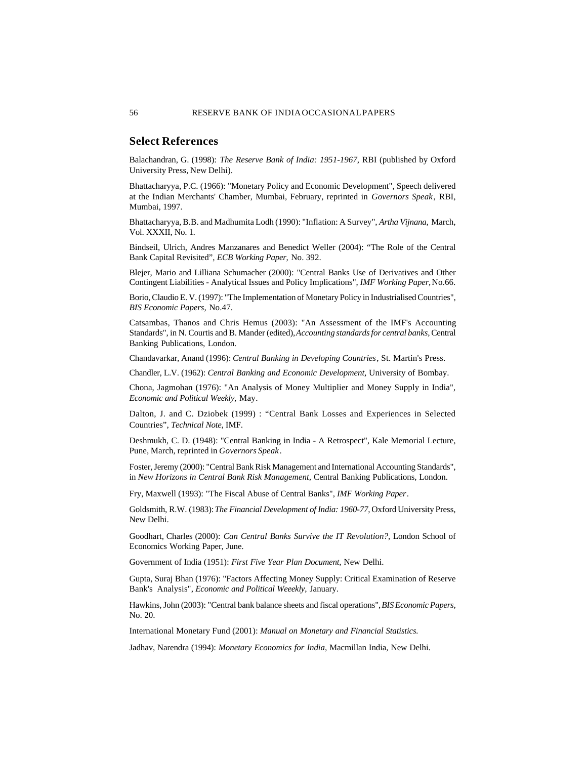#### **Select References**

Balachandran, G. (1998): *The Reserve Bank of India: 1951-1967*, RBI (published by Oxford University Press, New Delhi).

Bhattacharyya, P.C. (1966): "Monetary Policy and Economic Development", Speech delivered at the Indian Merchants' Chamber, Mumbai, February, reprinted in *Governors Speak*, RBI, Mumbai, 1997.

Bhattacharyya, B.B. and Madhumita Lodh (1990): "Inflation: A Survey", *Artha Vijnana,* March, Vol. XXXII, No. 1*.*

Bindseil, Ulrich, Andres Manzanares and Benedict Weller (2004): "The Role of the Central Bank Capital Revisited", *ECB Working Paper,* No. 392.

Blejer, Mario and Lilliana Schumacher (2000): "Central Banks Use of Derivatives and Other Contingent Liabilities - Analytical Issues and Policy Implications", *IMF Working Paper,* No.66.

Borio, Claudio E. V. (1997): "The Implementation of Monetary Policy in Industrialised Countries", *BIS Economic Papers,* No.47.

Catsambas, Thanos and Chris Hemus (2003): "An Assessment of the IMF's Accounting Standards", in N. Courtis and B. Mander (edited), *Accounting standards for central banks,* Central Banking Publications, London.

Chandavarkar, Anand (1996): *Central Banking in Developing Countries*, St. Martin's Press.

Chandler, L.V. (1962): *Central Banking and Economic Development,* University of Bombay.

Chona, Jagmohan (1976): "An Analysis of Money Multiplier and Money Supply in India", *Economic and Political Weekly,* May.

Dalton, J. and C. Dziobek (1999) : "Central Bank Losses and Experiences in Selected Countries", *Technical Note*, IMF.

Deshmukh, C. D. (1948): "Central Banking in India - A Retrospect", Kale Memorial Lecture, Pune, March, reprinted in *Governors Speak*.

Foster, Jeremy (2000): "Central Bank Risk Management and International Accounting Standards", in *New Horizons in Central Bank Risk Management,* Central Banking Publications, London.

Fry, Maxwell (1993): "The Fiscal Abuse of Central Banks", *IMF Working Paper*.

Goldsmith, R.W. (1983): *The Financial Development of India: 1960-77,* Oxford University Press, New Delhi.

Goodhart, Charles (2000): *Can Central Banks Survive the IT Revolution?*, London School of Economics Working Paper, June.

Government of India (1951): *First Five Year Plan Document*, New Delhi.

Gupta, Suraj Bhan (1976): "Factors Affecting Money Supply: Critical Examination of Reserve Bank's Analysis", *Economic and Political Weeekly*, January.

Hawkins, John (2003): "Central bank balance sheets and fiscal operations", *BIS Economic Papers,* No. 20.

International Monetary Fund (2001): *Manual on Monetary and Financial Statistics.*

Jadhav, Narendra (1994): *Monetary Economics for India*, Macmillan India, New Delhi.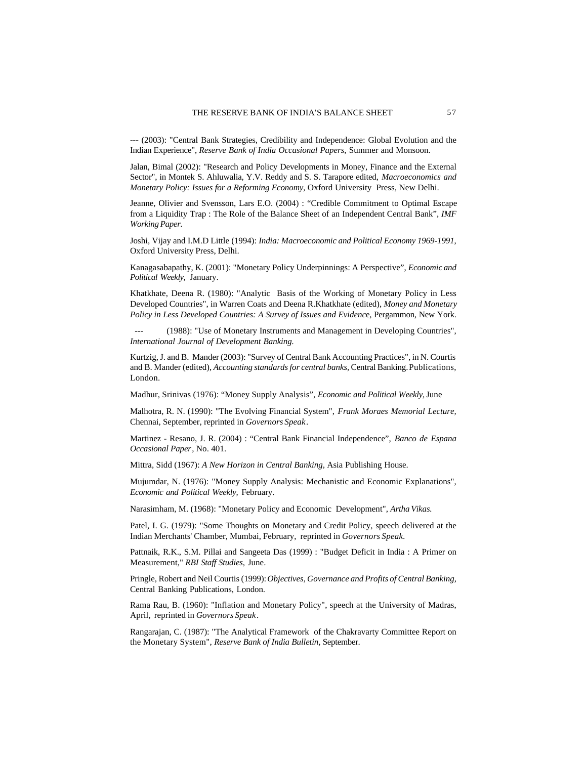--- (2003): "Central Bank Strategies, Credibility and Independence: Global Evolution and the Indian Experience", *Reserve Bank of India Occasional Papers*, Summer and Monsoon.

Jalan, Bimal (2002): "Research and Policy Developments in Money, Finance and the External Sector", in Montek S. Ahluwalia, Y.V. Reddy and S. S. Tarapore edited, *Macroeconomics and Monetary Policy: Issues for a Reforming Economy,* Oxford University Press, New Delhi.

Jeanne, Olivier and Svensson, Lars E.O. (2004) : "Credible Commitment to Optimal Escape from a Liquidity Trap : The Role of the Balance Sheet of an Independent Central Bank", *IMF Working Paper.*

Joshi, Vijay and I.M.D Little (1994): *India: Macroeconomic and Political Economy 1969-1991*, Oxford University Press, Delhi.

Kanagasabapathy, K. (2001): "Monetary Policy Underpinnings: A Perspective", *Economic and Political Weekly,* January.

Khatkhate, Deena R. (1980): "Analytic Basis of the Working of Monetary Policy in Less Developed Countries", in Warren Coats and Deena R.Khatkhate (edited), *Money and Monetary Policy in Less Developed Countries: A Survey of Issues and Evidenc*e, Pergammon, New York.

 --- (1988): "Use of Monetary Instruments and Management in Developing Countries", *International Journal of Development Banking.*

Kurtzig, J. and B. Mander (2003): "Survey of Central Bank Accounting Practices", in N. Courtis and B. Mander (edited), *Accounting standards for central banks,* Central Banking. Publications, London.

Madhur, Srinivas (1976): "Money Supply Analysis", *Economic and Political Weekly*, June

Malhotra, R. N. (1990): "The Evolving Financial System", *Frank Moraes Memorial Lecture,* Chennai, September, reprinted in *Governors Speak*.

Martinez - Resano, J. R. (2004) : "Central Bank Financial Independence", *Banco de Espana Occasional Paper*, No. 401.

Mittra, Sidd (1967): *A New Horizon in Central Banking,* Asia Publishing House.

Mujumdar, N. (1976): "Money Supply Analysis: Mechanistic and Economic Explanations", *Economic and Political Weekly,* February.

Narasimham, M. (1968): "Monetary Policy and Economic Development", *Artha Vikas.*

Patel, I. G. (1979): "Some Thoughts on Monetary and Credit Policy, speech delivered at the Indian Merchants' Chamber, Mumbai, February, reprinted in *Governors Speak.*

Pattnaik, R.K., S.M. Pillai and Sangeeta Das (1999) : "Budget Deficit in India : A Primer on Measurement," *RBI Staff Studies,* June.

Pringle, Robert and Neil Courtis (1999): *Objectives, Governance and Profits of Central Banking,* Central Banking Publications, London.

Rama Rau, B. (1960): "Inflation and Monetary Policy", speech at the University of Madras, April, reprinted in *Governors Speak*.

Rangarajan, C. (1987): "The Analytical Framework of the Chakravarty Committee Report on the Monetary System", *Reserve Bank of India Bulletin,* September.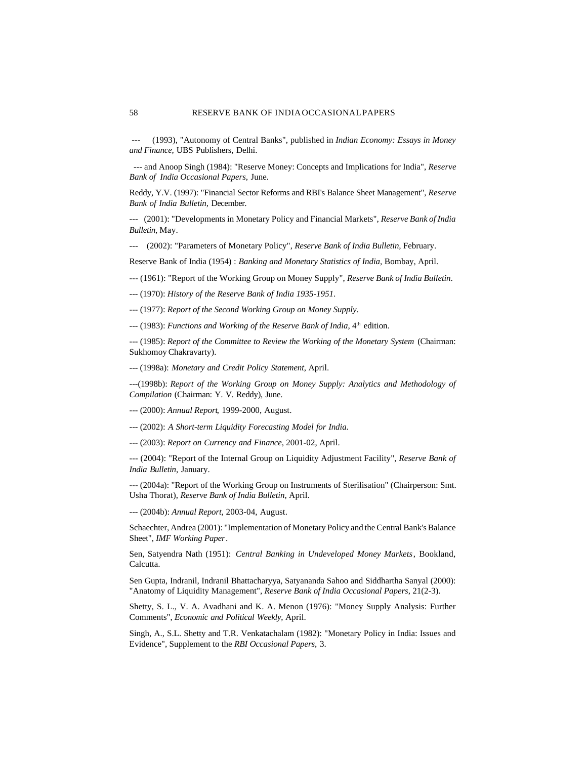(1993), "Autonomy of Central Banks", published in *Indian Economy: Essays in Money and Finance,* UBS Publishers, Delhi.

 --- and Anoop Singh (1984): "Reserve Money: Concepts and Implications for India", *Reserve Bank of India Occasional Papers,* June.

Reddy, Y.V. (1997): "Financial Sector Reforms and RBI's Balance Sheet Management", *Reserve Bank of India Bulletin,* December.

--- (2001): "Developments in Monetary Policy and Financial Markets", *Reserve Bank of India Bulletin,* May.

--- (2002): "Parameters of Monetary Policy", *Reserve Bank of India Bulletin,* February.

Reserve Bank of India (1954) : *Banking and Monetary Statistics of India,* Bombay, April.

--- (1961): "Report of the Working Group on Money Supply", *Reserve Bank of India Bulletin*.

--- (1970): *History of the Reserve Bank of India 1935-1951*.

--- (1977): *Report of the Second Working Group on Money Supply*.

--- (1983): *Functions and Working of the Reserve Bank of India*, 4<sup>th</sup> edition.

--- (1985): *Report of the Committee to Review the Working of the Monetary System* (Chairman: Sukhomoy Chakravarty).

--- (1998a): *Monetary and Credit Policy Statement*, April.

---(1998b): *Report of the Working Group on Money Supply: Analytics and Methodology of Compilation* (Chairman: Y. V. Reddy), June.

--- (2000): *Annual Report*, 1999-2000, August.

--- (2002): *A Short-term Liquidity Forecasting Model for India*.

--- (2003): *Report on Currency and Finance*, 2001-02, April.

--- (2004): "Report of the Internal Group on Liquidity Adjustment Facility", *Reserve Bank of India Bulletin*, January.

--- (2004a): "Report of the Working Group on Instruments of Sterilisation" (Chairperson: Smt. Usha Thorat), *Reserve Bank of India Bulletin*, April.

--- (2004b): *Annual Report,* 2003-04, August.

Schaechter, Andrea (2001): "Implementation of Monetary Policy and the Central Bank's Balance Sheet", *IMF Working Paper*.

Sen, Satyendra Nath (1951): *Central Banking in Undeveloped Money Markets*, Bookland, Calcutta.

Sen Gupta, Indranil, Indranil Bhattacharyya, Satyananda Sahoo and Siddhartha Sanyal (2000): "Anatomy of Liquidity Management", *Reserve Bank of India Occasional Papers*, 21(2-3).

Shetty, S. L., V. A. Avadhani and K. A. Menon (1976): "Money Supply Analysis: Further Comments", *Economic and Political Weekly*, April.

Singh, A., S.L. Shetty and T.R. Venkatachalam (1982): "Monetary Policy in India: Issues and Evidence", Supplement to the *RBI Occasional Papers*, 3.